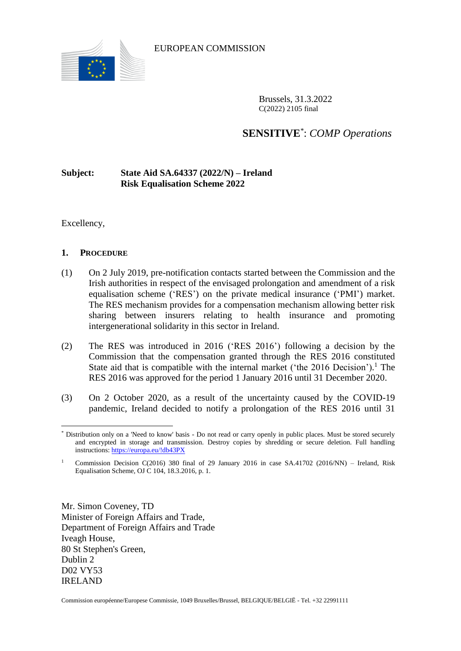

EUROPEAN COMMISSION

Brussels, 31.3.2022 C(2022) 2105 final

# **SENSITIVE**\* : *COMP Operations*

## **Subject: State Aid SA.64337 (2022/N) – Ireland Risk Equalisation Scheme 2022**

Excellency,

 $\overline{a}$ 

### **1. PROCEDURE**

- <span id="page-0-0"></span>(1) On 2 July 2019, pre-notification contacts started between the Commission and the Irish authorities in respect of the envisaged prolongation and amendment of a risk equalisation scheme ('RES') on the private medical insurance ('PMI') market. The RES mechanism provides for a compensation mechanism allowing better risk sharing between insurers relating to health insurance and promoting intergenerational solidarity in this sector in Ireland.
- (2) The RES was introduced in 2016 ('RES 2016') following a decision by the Commission that the compensation granted through the RES 2016 constituted State aid that is compatible with the internal market ('the  $2016$  Decision').<sup>1</sup> The RES 2016 was approved for the period 1 January 2016 until 31 December 2020.
- (3) On 2 October 2020, as a result of the uncertainty caused by the COVID-19 pandemic, Ireland decided to notify a prolongation of the RES 2016 until 31

Mr. Simon Coveney, TD Minister of Foreign Affairs and Trade, Department of Foreign Affairs and Trade Iveagh House, 80 St Stephen's Green, Dublin 2 D02 VY53 IRELAND

Commission européenne/Europese Commissie, 1049 Bruxelles/Brussel, BELGIQUE/BELGIË - Tel. +32 22991111

<sup>\*</sup> Distribution only on a 'Need to know' basis - Do not read or carry openly in public places. Must be stored securely and encrypted in storage and transmission. Destroy copies by shredding or secure deletion. Full handling instructions:<https://europa.eu/!db43PX>

<sup>1</sup> Commission Decision C(2016) 380 final of 29 January 2016 in case SA.41702 (2016/NN) – Ireland, Risk Equalisation Scheme, OJ C 104, 18.3.2016, p. 1.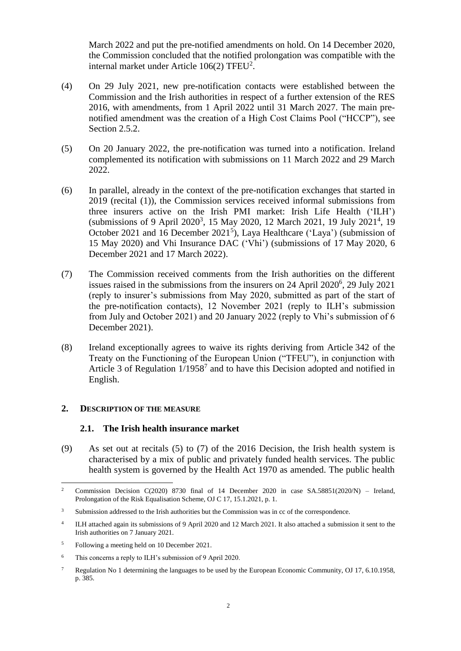March 2022 and put the pre-notified amendments on hold. On 14 December 2020, the Commission concluded that the notified prolongation was compatible with the internal market under Article  $106(2)$  TFEU<sup>2</sup>.

- (4) On 29 July 2021, new pre-notification contacts were established between the Commission and the Irish authorities in respect of a further extension of the RES 2016, with amendments, from 1 April 2022 until 31 March 2027. The main prenotified amendment was the creation of a High Cost Claims Pool ("HCCP"), see Section [2.5.2.](#page-12-0)
- (5) On 20 January 2022, the pre-notification was turned into a notification. Ireland complemented its notification with submissions on 11 March 2022 and 29 March 2022.
- <span id="page-1-0"></span>(6) In parallel, already in the context of the pre-notification exchanges that started in 2019 (recital [\(1\)\)](#page-0-0), the Commission services received informal submissions from three insurers active on the Irish PMI market: Irish Life Health ('ILH') (submissions of 9 April 2020<sup>3</sup>, 15 May 2020, 12 March 2021, 19 July 2021<sup>4</sup>, 19 October 2021 and 16 December 2021<sup>5</sup>), Laya Healthcare ('Laya') (submission of 15 May 2020) and Vhi Insurance DAC ('Vhi') (submissions of 17 May 2020, 6 December 2021 and 17 March 2022).
- (7) The Commission received comments from the Irish authorities on the different issues raised in the submissions from the insurers on 24 April 2020<sup>6</sup>, 29 July 2021 (reply to insurer's submissions from May 2020, submitted as part of the start of the pre-notification contacts), 12 November 2021 (reply to ILH's submission from July and October 2021) and 20 January 2022 (reply to Vhi's submission of 6 December 2021).
- (8) Ireland exceptionally agrees to waive its rights deriving from Article 342 of the Treaty on the Functioning of the European Union ("TFEU"), in conjunction with Article 3 of Regulation  $1/1958<sup>7</sup>$  and to have this Decision adopted and notified in English.

### **2. DESCRIPTION OF THE MEASURE**

#### **2.1. The Irish health insurance market**

(9) As set out at recitals (5) to (7) of the 2016 Decision, the Irish health system is characterised by a mix of public and privately funded health services. The public health system is governed by the Health Act 1970 as amended. The public health

 $\overline{2}$ Commission Decision C(2020) 8730 final of 14 December 2020 in case  $SA.58851(2020/N)$  – Ireland, Prolongation of the Risk Equalisation Scheme, OJ C 17, 15.1.2021, p. 1.

<sup>&</sup>lt;sup>3</sup> Submission addressed to the Irish authorities but the Commission was in cc of the correspondence.

<sup>4</sup> ILH attached again its submissions of 9 April 2020 and 12 March 2021. It also attached a submission it sent to the Irish authorities on 7 January 2021.

<sup>5</sup> Following a meeting held on 10 December 2021.

<sup>6</sup> This concerns a reply to ILH's submission of 9 April 2020.

<sup>&</sup>lt;sup>7</sup> Regulation No 1 determining the languages to be used by the European Economic Community, OJ 17, 6.10.1958, p. 385.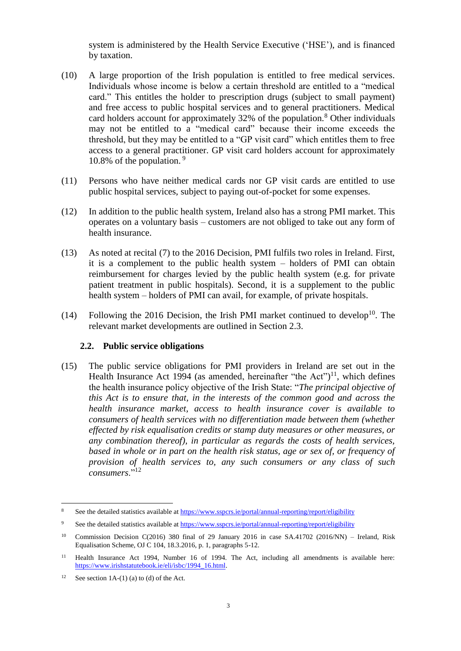system is administered by the Health Service Executive ('HSE'), and is financed by taxation.

- (10) A large proportion of the Irish population is entitled to free medical services. Individuals whose income is below a certain threshold are entitled to a "medical card." This entitles the holder to prescription drugs (subject to small payment) and free access to public hospital services and to general practitioners. Medical card holders account for approximately  $32\%$  of the population.<sup>8</sup> Other individuals may not be entitled to a "medical card" because their income exceeds the threshold, but they may be entitled to a "GP visit card" which entitles them to free access to a general practitioner. GP visit card holders account for approximately 10.8% of the population.  $9$
- (11) Persons who have neither medical cards nor GP visit cards are entitled to use public hospital services, subject to paying out-of-pocket for some expenses.
- (12) In addition to the public health system, Ireland also has a strong PMI market. This operates on a voluntary basis – customers are not obliged to take out any form of health insurance.
- (13) As noted at recital (7) to the 2016 Decision, PMI fulfils two roles in Ireland. First, it is a complement to the public health system – holders of PMI can obtain reimbursement for charges levied by the public health system (e.g. for private patient treatment in public hospitals). Second, it is a supplement to the public health system – holders of PMI can avail, for example, of private hospitals.
- (14) Following the 2016 Decision, the Irish PMI market continued to develop<sup>10</sup>. The relevant market developments are outlined in Section [2.3.](#page-3-0)

### **2.2. Public service obligations**

<span id="page-2-0"></span>(15) The public service obligations for PMI providers in Ireland are set out in the Health Insurance Act 1994 (as amended, hereinafter "the Act")<sup>11</sup>, which defines the health insurance policy objective of the Irish State: "*The principal objective of this Act is to ensure that, in the interests of the common good and across the health insurance market, access to health insurance cover is available to consumers of health services with no differentiation made between them (whether effected by risk equalisation credits or stamp duty measures or other measures, or any combination thereof), in particular as regards the costs of health services, based in whole or in part on the health risk status, age or sex of, or frequency of provision of health services to, any such consumers or any class of such consumers*."<sup>12</sup>

<sup>&</sup>lt;sup>8</sup> See the detailed statistics available at<https://www.sspcrs.ie/portal/annual-reporting/report/eligibility>

See the detailed statistics available at<https://www.sspcrs.ie/portal/annual-reporting/report/eligibility>

<sup>10</sup> Commission Decision C(2016) 380 final of 29 January 2016 in case SA.41702 (2016/NN) – Ireland, Risk Equalisation Scheme, OJ C 104, 18.3.2016, p. 1, paragraphs 5-12.

<sup>11</sup> Health Insurance Act 1994, Number 16 of 1994. The Act, including all amendments is available here: [https://www.irishstatutebook.ie/eli/isbc/1994\\_16.html.](https://www.irishstatutebook.ie/eli/isbc/1994_16.html) 

<sup>&</sup>lt;sup>12</sup> See section 1A-(1) (a) to (d) of the Act.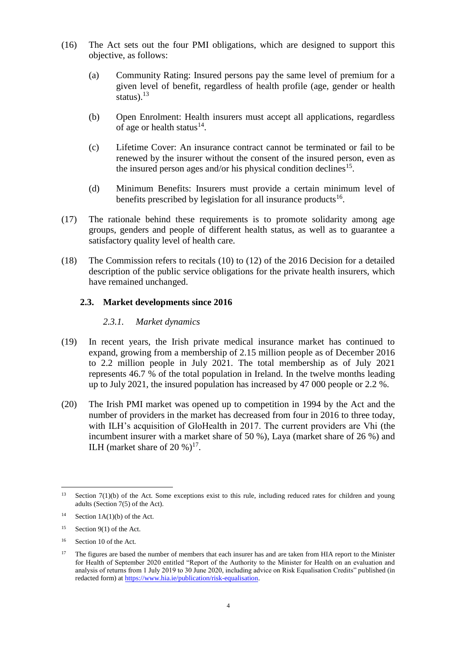- <span id="page-3-2"></span>(16) The Act sets out the four PMI obligations, which are designed to support this objective, as follows:
	- (a) Community Rating: Insured persons pay the same level of premium for a given level of benefit, regardless of health profile (age, gender or health status). $13$
	- (b) Open Enrolment: Health insurers must accept all applications, regardless of age or health status<sup>14</sup>.
	- (c) Lifetime Cover: An insurance contract cannot be terminated or fail to be renewed by the insurer without the consent of the insured person, even as the insured person ages and/or his physical condition declines<sup>15</sup>.
	- (d) Minimum Benefits: Insurers must provide a certain minimum level of benefits prescribed by legislation for all insurance products<sup>16</sup>.
- (17) The rationale behind these requirements is to promote solidarity among age groups, genders and people of different health status, as well as to guarantee a satisfactory quality level of health care.
- (18) The Commission refers to recitals (10) to (12) of the 2016 Decision for a detailed description of the public service obligations for the private health insurers, which have remained unchanged.

## <span id="page-3-0"></span>**2.3. Market developments since 2016**

## *2.3.1. Market dynamics*

- (19) In recent years, the Irish private medical insurance market has continued to expand, growing from a membership of 2.15 million people as of December 2016 to 2.2 million people in July 2021. The total membership as of July 2021 represents 46.7 % of the total population in Ireland. In the twelve months leading up to July 2021, the insured population has increased by 47 000 people or 2.2 %.
- <span id="page-3-1"></span>(20) The Irish PMI market was opened up to competition in 1994 by the Act and the number of providers in the market has decreased from four in 2016 to three today, with ILH's acquisition of GloHealth in 2017. The current providers are Vhi (the incumbent insurer with a market share of 50 %), Laya (market share of 26 %) and ILH (market share of 20 %) $17$ .

 $13$ Section  $7(1)(b)$  of the Act. Some exceptions exist to this rule, including reduced rates for children and young adults (Section 7(5) of the Act).

<sup>&</sup>lt;sup>14</sup> Section  $1A(1)(b)$  of the Act.

<sup>&</sup>lt;sup>15</sup> Section 9(1) of the Act.

<sup>16</sup> Section 10 of the Act.

 $17$  The figures are based the number of members that each insurer has and are taken from HIA report to the Minister for Health of September 2020 entitled "Report of the Authority to the Minister for Health on an evaluation and analysis of returns from 1 July 2019 to 30 June 2020, including advice on Risk Equalisation Credits" published (in redacted form) a[t https://www.hia.ie/publication/risk-equalisation.](https://www.hia.ie/publication/risk-equalisation)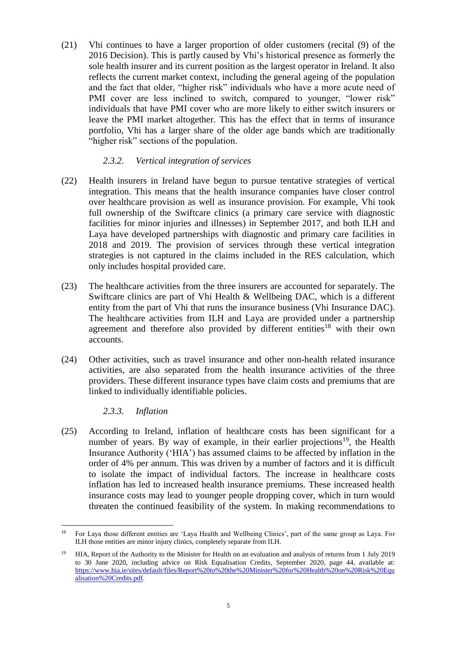(21) Vhi continues to have a larger proportion of older customers (recital (9) of the 2016 Decision). This is partly caused by Vhi's historical presence as formerly the sole health insurer and its current position as the largest operator in Ireland. It also reflects the current market context, including the general ageing of the population and the fact that older, "higher risk" individuals who have a more acute need of PMI cover are less inclined to switch, compared to younger, "lower risk" individuals that have PMI cover who are more likely to either switch insurers or leave the PMI market altogether. This has the effect that in terms of insurance portfolio, Vhi has a larger share of the older age bands which are traditionally "higher risk" sections of the population.

## *2.3.2. Vertical integration of services*

- (22) Health insurers in Ireland have begun to pursue tentative strategies of vertical integration. This means that the health insurance companies have closer control over healthcare provision as well as insurance provision. For example, Vhi took full ownership of the Swiftcare clinics (a primary care service with diagnostic facilities for minor injuries and illnesses) in September 2017, and both ILH and Laya have developed partnerships with diagnostic and primary care facilities in 2018 and 2019. The provision of services through these vertical integration strategies is not captured in the claims included in the RES calculation, which only includes hospital provided care.
- (23) The healthcare activities from the three insurers are accounted for separately. The Swiftcare clinics are part of Vhi Health & Wellbeing DAC, which is a different entity from the part of Vhi that runs the insurance business (Vhi Insurance DAC). The healthcare activities from ILH and Laya are provided under a partnership agreement and therefore also provided by different entities<sup>18</sup> with their own accounts.
- (24) Other activities, such as travel insurance and other non-health related insurance activities, are also separated from the health insurance activities of the three providers. These different insurance types have claim costs and premiums that are linked to individually identifiable policies.

*2.3.3. Inflation*

<span id="page-4-0"></span>(25) According to Ireland, inflation of healthcare costs has been significant for a number of years. By way of example, in their earlier projections<sup>19</sup>, the Health Insurance Authority ('HIA') has assumed claims to be affected by inflation in the order of 4% per annum. This was driven by a number of factors and it is difficult to isolate the impact of individual factors. The increase in healthcare costs inflation has led to increased health insurance premiums. These increased health insurance costs may lead to younger people dropping cover, which in turn would threaten the continued feasibility of the system. In making recommendations to

 $\overline{a}$ <sup>18</sup> For Laya those different entities are 'Laya Health and Wellbeing Clinics', part of the same group as Laya. For ILH those entities are minor injury clinics, completely separate from ILH.

<sup>19</sup> HIA, Report of the Authority to the Minister for Health on an evaluation and analysis of returns from 1 July 2019 to 30 June 2020, including advice on Risk Equalisation Credits, September 2020, page 44, available at: [https://www.hia.ie/sites/default/files/Report%20to%20the%20Minister%20for%20Health%20on%20Risk%20Equ](https://www.hia.ie/sites/default/files/Report%20to%20the%20Minister%20for%20Health%20on%20Risk%20Equalisation%20Credits.pdf) [alisation%20Credits.pdf.](https://www.hia.ie/sites/default/files/Report%20to%20the%20Minister%20for%20Health%20on%20Risk%20Equalisation%20Credits.pdf)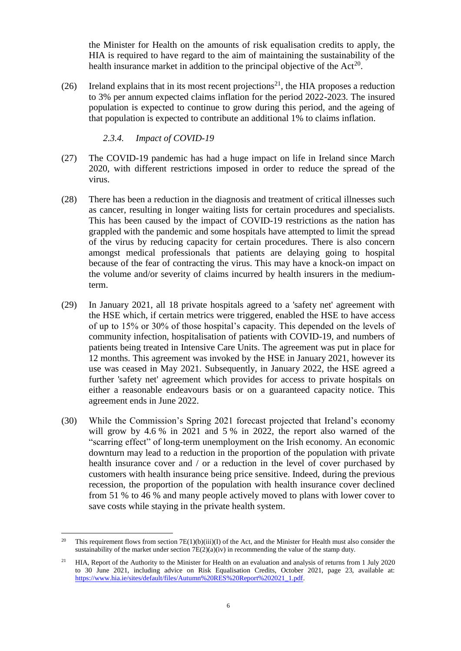the Minister for Health on the amounts of risk equalisation credits to apply, the HIA is required to have regard to the aim of maintaining the sustainability of the health insurance market in addition to the principal objective of the  $Act^{20}$ .

(26) Ireland explains that in its most recent projections<sup>21</sup>, the HIA proposes a reduction to 3% per annum expected claims inflation for the period 2022-2023. The insured population is expected to continue to grow during this period, and the ageing of that population is expected to contribute an additional 1% to claims inflation.

*2.3.4. Impact of COVID-19*

- (27) The COVID-19 pandemic has had a huge impact on life in Ireland since March 2020, with different restrictions imposed in order to reduce the spread of the virus.
- (28) There has been a reduction in the diagnosis and treatment of critical illnesses such as cancer, resulting in longer waiting lists for certain procedures and specialists. This has been caused by the impact of COVID-19 restrictions as the nation has grappled with the pandemic and some hospitals have attempted to limit the spread of the virus by reducing capacity for certain procedures. There is also concern amongst medical professionals that patients are delaying going to hospital because of the fear of contracting the virus. This may have a knock-on impact on the volume and/or severity of claims incurred by health insurers in the mediumterm.
- (29) In January 2021, all 18 private hospitals agreed to a 'safety net' agreement with the HSE which, if certain metrics were triggered, enabled the HSE to have access of up to 15% or 30% of those hospital's capacity. This depended on the levels of community infection, hospitalisation of patients with COVID-19, and numbers of patients being treated in Intensive Care Units. The agreement was put in place for 12 months. This agreement was invoked by the HSE in January 2021, however its use was ceased in May 2021. Subsequently, in January 2022, the HSE agreed a further 'safety net' agreement which provides for access to private hospitals on either a reasonable endeavours basis or on a guaranteed capacity notice. This agreement ends in June 2022.
- (30) While the Commission's Spring 2021 forecast projected that Ireland's economy will grow by 4.6 % in 2021 and 5 % in 2022, the report also warned of the "scarring effect" of long-term unemployment on the Irish economy. An economic downturn may lead to a reduction in the proportion of the population with private health insurance cover and / or a reduction in the level of cover purchased by customers with health insurance being price sensitive. Indeed, during the previous recession, the proportion of the population with health insurance cover declined from 51 % to 46 % and many people actively moved to plans with lower cover to save costs while staying in the private health system.

 $\overline{a}$ <sup>20</sup> This requirement flows from section  $7E(1)(b)(iii)(I)$  of the Act, and the Minister for Health must also consider the sustainability of the market under section  $7E(2)(a)(iv)$  in recommending the value of the stamp duty.

<sup>&</sup>lt;sup>21</sup> HIA, Report of the Authority to the Minister for Health on an evaluation and analysis of returns from 1 July 2020 to 30 June 2021, including advice on Risk Equalisation Credits, October 2021, page 23, available at: [https://www.hia.ie/sites/default/files/Autumn%20RES%20Report%202021\\_1.pdf.](https://www.hia.ie/sites/default/files/Autumn%20RES%20Report%202021_1.pdf)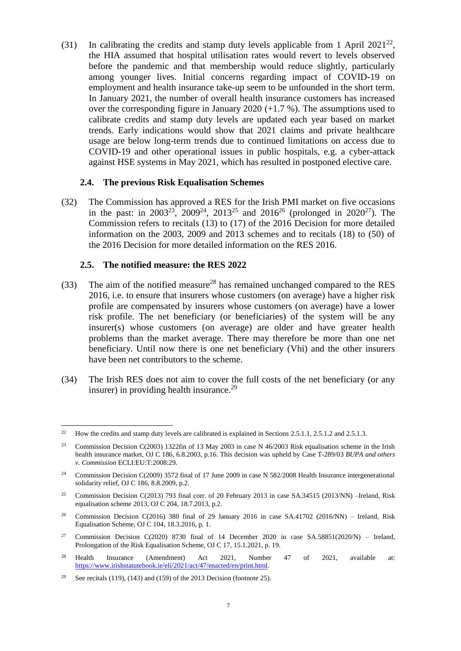(31) In calibrating the credits and stamp duty levels applicable from 1 April  $2021^{22}$ , the HIA assumed that hospital utilisation rates would revert to levels observed before the pandemic and that membership would reduce slightly, particularly among younger lives. Initial concerns regarding impact of COVID-19 on employment and health insurance take-up seem to be unfounded in the short term. In January 2021, the number of overall health insurance customers has increased over the corresponding figure in January 2020 (+1.7 %). The assumptions used to calibrate credits and stamp duty levels are updated each year based on market trends. Early indications would show that 2021 claims and private healthcare usage are below long-term trends due to continued limitations on access due to COVID-19 and other operational issues in public hospitals, e.g. a cyber-attack against HSE systems in May 2021, which has resulted in postponed elective care.

### <span id="page-6-2"></span><span id="page-6-0"></span>**2.4. The previous Risk Equalisation Schemes**

<span id="page-6-1"></span>(32) The Commission has approved a RES for the Irish PMI market on five occasions in the past: in  $2003^{23}$ ,  $2009^{24}$ ,  $2013^{25}$  and  $2016^{26}$  (prolonged in  $2020^{27}$ ). The Commission refers to recitals (13) to (17) of the 2016 Decision for more detailed information on the 2003, 2009 and 2013 schemes and to recitals (18) to (50) of the 2016 Decision for more detailed information on the RES 2016.

#### **2.5. The notified measure: the RES 2022**

- <span id="page-6-3"></span>(33) The aim of the notified measure<sup>28</sup> has remained unchanged compared to the RES 2016, i.e. to ensure that insurers whose customers (on average) have a higher risk profile are compensated by insurers whose customers (on average) have a lower risk profile. The net beneficiary (or beneficiaries) of the system will be any insurer(s) whose customers (on average) are older and have greater health problems than the market average. There may therefore be more than one net beneficiary. Until now there is one net beneficiary (Vhi) and the other insurers have been net contributors to the scheme.
- (34) The Irish RES does not aim to cover the full costs of the net beneficiary (or any insurer) in providing health insurance. $29$

- <sup>27</sup> Commission Decision C(2020) 8730 final of 14 December 2020 in case SA.58851(2020/N) Ireland, Prolongation of the Risk Equalisation Scheme, OJ C 17, 15.1.2021, p. 19.
- <sup>28</sup> Health Insurance (Amendment) Act 2021, Number 47 of 2021, available at: [https://www.irishstatutebook.ie/eli/2021/act/47/enacted/en/print.html.](https://www.irishstatutebook.ie/eli/2021/act/47/enacted/en/print.html)

 $22$ <sup>22</sup> How the credits and stamp duty levels are calibrated is explained in Section[s 2.5.1.1,](#page-7-0) [2.5.1.2](#page-8-0) and [2.5.1.3.](#page-9-0)

<sup>&</sup>lt;sup>23</sup> Commission Decision C(2003) 1322fin of 13 May 2003 in case N 46/2003 Risk equalisation scheme in the Irish health insurance market, OJ C 186, 6.8.2003, p.16. This decision was upheld by Case T-289/03 *BUPA and others v. Commission* ECLI:EU:T:2008:29.

<sup>&</sup>lt;sup>24</sup> Commission Decision C(2009) 3572 final of 17 June 2009 in case N 582/2008 Health Insurance intergenerational solidarity relief, OJ C 186, 8.8.2009, p.2.

<sup>&</sup>lt;sup>25</sup> Commission Decision C(2013) 793 final corr. of 20 February 2013 in case SA.34515 (2013/NN) –Ireland, Risk equalisation scheme 2013, OJ C 204, 18.7.2013, p.2.

<sup>26</sup> Commission Decision C(2016) 380 final of 29 January 2016 in case SA.41702 (2016/NN) – Ireland, Risk Equalisation Scheme, OJ C 104, 18.3.2016, p. 1.

<sup>&</sup>lt;sup>29</sup> See recitals (119), (143) and (159) of the 2013 Decision (footnote [25\)](#page-6-0).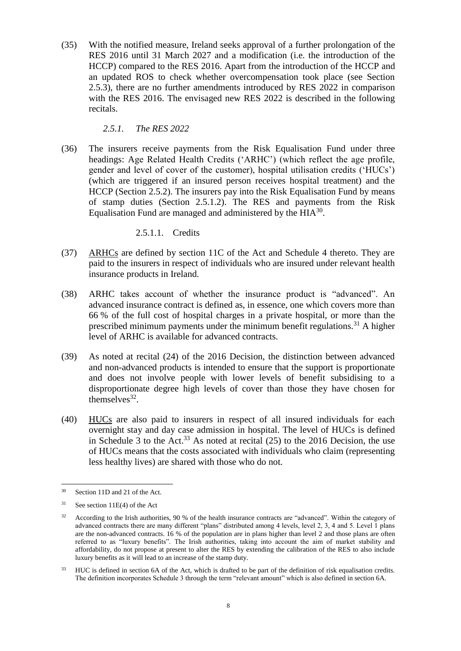(35) With the notified measure, Ireland seeks approval of a further prolongation of the RES 2016 until 31 March 2027 and a modification (i.e. the introduction of the HCCP) compared to the RES 2016. Apart from the introduction of the HCCP and an updated ROS to check whether overcompensation took place (see Section [2.5.3\)](#page-14-0), there are no further amendments introduced by RES 2022 in comparison with the RES 2016. The envisaged new RES 2022 is described in the following recitals.

*2.5.1. The RES 2022*

<span id="page-7-3"></span>(36) The insurers receive payments from the Risk Equalisation Fund under three headings: Age Related Health Credits ('ARHC') (which reflect the age profile, gender and level of cover of the customer), hospital utilisation credits ('HUCs') (which are triggered if an insured person receives hospital treatment) and the HCCP (Section [2.5.2\)](#page-12-0). The insurers pay into the Risk Equalisation Fund by means of stamp duties (Section [2.5.1.2\)](#page-8-0). The RES and payments from the Risk Equalisation Fund are managed and administered by the  $HIA^{30}$ .

## 2.5.1.1. Credits

- <span id="page-7-0"></span>(37) ARHCs are defined by section 11C of the Act and Schedule 4 thereto. They are paid to the insurers in respect of individuals who are insured under relevant health insurance products in Ireland.
- <span id="page-7-1"></span>(38) ARHC takes account of whether the insurance product is "advanced". An advanced insurance contract is defined as, in essence, one which covers more than 66 % of the full cost of hospital charges in a private hospital, or more than the prescribed minimum payments under the minimum benefit regulations.<sup>31</sup> A higher level of ARHC is available for advanced contracts.
- (39) As noted at recital (24) of the 2016 Decision, the distinction between advanced and non-advanced products is intended to ensure that the support is proportionate and does not involve people with lower levels of benefit subsidising to a disproportionate degree high levels of cover than those they have chosen for themselves $32$ .
- <span id="page-7-2"></span>(40) HUCs are also paid to insurers in respect of all insured individuals for each overnight stay and day case admission in hospital. The level of HUCs is defined in Schedule 3 to the Act.<sup>33</sup> As noted at recital  $(25)$  to the 2016 Decision, the use of HUCs means that the costs associated with individuals who claim (representing less healthy lives) are shared with those who do not.

 $30<sup>2</sup>$ Section 11D and 21 of the Act.

 $31$  See section 11E(4) of the Act

<sup>&</sup>lt;sup>32</sup> According to the Irish authorities, 90 % of the health insurance contracts are "advanced". Within the category of advanced contracts there are many different "plans" distributed among 4 levels, level 2, 3, 4 and 5. Level 1 plans are the non-advanced contracts. 16 % of the population are in plans higher than level 2 and those plans are often referred to as "luxury benefits". The Irish authorities, taking into account the aim of market stability and affordability, do not propose at present to alter the RES by extending the calibration of the RES to also include luxury benefits as it will lead to an increase of the stamp duty.

<sup>&</sup>lt;sup>33</sup> HUC is defined in section 6A of the Act, which is drafted to be part of the definition of risk equalisation credits. The definition incorporates Schedule 3 through the term "relevant amount" which is also defined in section 6A.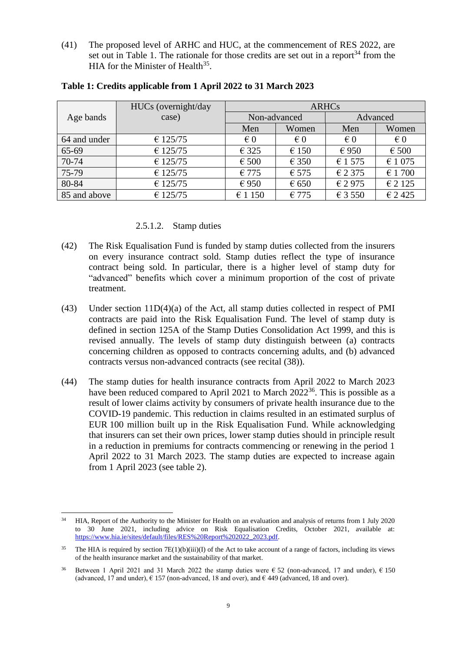(41) The proposed level of ARHC and HUC, at the commencement of RES 2022, are set out in Table 1. The rationale for those credits are set out in a report<sup>34</sup> from the HIA for the Minister of Health<sup>35</sup>.

|              | HUCs (overnight/day | <b>ARHCs</b>   |                         |                         |                         |
|--------------|---------------------|----------------|-------------------------|-------------------------|-------------------------|
| Age bands    | case)               | Non-advanced   |                         | Advanced                |                         |
|              |                     | Men            | Women                   | Men                     | Women                   |
| 64 and under | € 125/75            | $\epsilon$ 0   | $\epsilon$ <sub>0</sub> | $\epsilon$ <sub>0</sub> | $\epsilon$ <sub>0</sub> |
| 65-69        | € 125/75            | $\epsilon$ 325 | $\epsilon$ 150          | €950                    | $\epsilon$ 500          |
| 70-74        | € 125/75            | $\epsilon$ 500 | € 350                   | € 1 575                 | € 1 075                 |
| 75-79        | € 125/75            | €775           | $\epsilon$ 575          | € 2 375                 | € 1700                  |
| 80-84        | € 125/75            | €950           | $\epsilon$ 650          | $\epsilon$ 2975         | € 2 1 2 5               |
| 85 and above | € 125/75            | € 1 150        | $\epsilon$ 775          | € 3 550                 | € 2425                  |

#### **Table 1: Credits applicable from 1 April 2022 to 31 March 2023**

#### 2.5.1.2. Stamp duties

- <span id="page-8-0"></span>(42) The Risk Equalisation Fund is funded by stamp duties collected from the insurers on every insurance contract sold. Stamp duties reflect the type of insurance contract being sold. In particular, there is a higher level of stamp duty for "advanced" benefits which cover a minimum proportion of the cost of private treatment.
- (43) Under section 11D(4)(a) of the Act, all stamp duties collected in respect of PMI contracts are paid into the Risk Equalisation Fund. The level of stamp duty is defined in section 125A of the Stamp Duties Consolidation Act 1999, and this is revised annually. The levels of stamp duty distinguish between (a) contracts concerning children as opposed to contracts concerning adults, and (b) advanced contracts versus non-advanced contracts (see recital [\(38\)\)](#page-7-1).
- <span id="page-8-1"></span>(44) The stamp duties for health insurance contracts from April 2022 to March 2023 have been reduced compared to April 2021 to March  $2022^{36}$ . This is possible as a result of lower claims activity by consumers of private health insurance due to the COVID-19 pandemic. This reduction in claims resulted in an estimated surplus of EUR 100 million built up in the Risk Equalisation Fund. While acknowledging that insurers can set their own prices, lower stamp duties should in principle result in a reduction in premiums for contracts commencing or renewing in the period 1 April 2022 to 31 March 2023. The stamp duties are expected to increase again from 1 April 2023 (see table 2).

 $\overline{a}$ <sup>34</sup> HIA, Report of the Authority to the Minister for Health on an evaluation and analysis of returns from 1 July 2020 to 30 June 2021, including advice on Risk Equalisation Credits, October 2021, available at: [https://www.hia.ie/sites/default/files/RES%20Report%202022\\_2023.pdf.](https://www.hia.ie/sites/default/files/RES%20Report%202022_2023.pdf)

<sup>&</sup>lt;sup>35</sup> The HIA is required by section  $7E(1)(b)(iii)(I)$  of the Act to take account of a range of factors, including its views of the health insurance market and the sustainability of that market.

<sup>&</sup>lt;sup>36</sup> Between 1 April 2021 and 31 March 2022 the stamp duties were  $\epsilon$  52 (non-advanced, 17 and under),  $\epsilon$  150 (advanced, 17 and under),  $\epsilon$  157 (non-advanced, 18 and over), and  $\epsilon$  449 (advanced, 18 and over).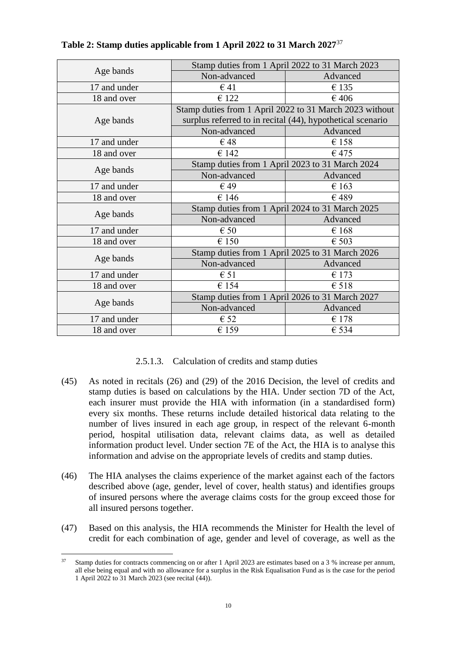|              | Stamp duties from 1 April 2022 to 31 March 2023            |                |  |  |  |
|--------------|------------------------------------------------------------|----------------|--|--|--|
| Age bands    | Non-advanced                                               | Advanced       |  |  |  |
| 17 and under | $\epsilon$ 41                                              | €135           |  |  |  |
| 18 and over  | € 122                                                      | €406           |  |  |  |
|              | Stamp duties from 1 April 2022 to 31 March 2023 without    |                |  |  |  |
| Age bands    | surplus referred to in recital (44), hypothetical scenario |                |  |  |  |
|              | Non-advanced                                               | Advanced       |  |  |  |
| 17 and under | $\epsilon$ 48                                              | €158           |  |  |  |
| 18 and over  | €142                                                       | $\epsilon$ 475 |  |  |  |
| Age bands    | Stamp duties from 1 April 2023 to 31 March 2024            |                |  |  |  |
|              | Non-advanced                                               | Advanced       |  |  |  |
| 17 and under | $\epsilon$ 49                                              | $\epsilon$ 163 |  |  |  |
| 18 and over  | €146                                                       | €489           |  |  |  |
|              | Stamp duties from 1 April 2024 to 31 March 2025            |                |  |  |  |
| Age bands    | Non-advanced                                               | Advanced       |  |  |  |
| 17 and under | $\epsilon$ 50                                              | €168           |  |  |  |
| 18 and over  | €150                                                       | $\epsilon$ 503 |  |  |  |
|              | Stamp duties from 1 April 2025 to 31 March 2026            |                |  |  |  |
| Age bands    | Non-advanced                                               | Advanced       |  |  |  |
| 17 and under | $\epsilon$ 51                                              | $\epsilon$ 173 |  |  |  |
| 18 and over  | €154                                                       | €518           |  |  |  |
|              | Stamp duties from 1 April 2026 to 31 March 2027            |                |  |  |  |
| Age bands    | Non-advanced                                               | Advanced       |  |  |  |
| 17 and under | $\epsilon$ 52                                              | €178           |  |  |  |
| 18 and over  | €159                                                       | $\epsilon$ 534 |  |  |  |

## **Table 2: Stamp duties applicable from 1 April 2022 to 31 March 2027**<sup>37</sup>

## 2.5.1.3. Calculation of credits and stamp duties

- <span id="page-9-1"></span><span id="page-9-0"></span>(45) As noted in recitals (26) and (29) of the 2016 Decision, the level of credits and stamp duties is based on calculations by the HIA. Under section 7D of the Act, each insurer must provide the HIA with information (in a standardised form) every six months. These returns include detailed historical data relating to the number of lives insured in each age group, in respect of the relevant 6-month period, hospital utilisation data, relevant claims data, as well as detailed information product level. Under section 7E of the Act, the HIA is to analyse this information and advise on the appropriate levels of credits and stamp duties.
- (46) The HIA analyses the claims experience of the market against each of the factors described above (age, gender, level of cover, health status) and identifies groups of insured persons where the average claims costs for the group exceed those for all insured persons together.
- (47) Based on this analysis, the HIA recommends the Minister for Health the level of credit for each combination of age, gender and level of coverage, as well as the

 $\overline{a}$ <sup>37</sup> Stamp duties for contracts commencing on or after 1 April 2023 are estimates based on a 3 % increase per annum, all else being equal and with no allowance for a surplus in the Risk Equalisation Fund as is the case for the period 1 April 2022 to 31 March 2023 (see recital [\(44\)\)](#page-8-1).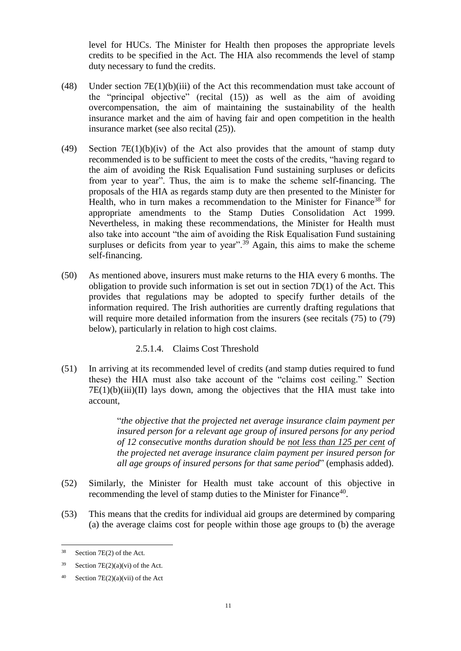level for HUCs. The Minister for Health then proposes the appropriate levels credits to be specified in the Act. The HIA also recommends the level of stamp duty necessary to fund the credits.

- (48) Under section 7E(1)(b)(iii) of the Act this recommendation must take account of the "principal objective" (recital [\(15\)\)](#page-2-0) as well as the aim of avoiding overcompensation, the aim of maintaining the sustainability of the health insurance market and the aim of having fair and open competition in the health insurance market (see also recital [\(25\)\)](#page-4-0).
- (49) Section  $7E(1)(b)(iv)$  of the Act also provides that the amount of stamp duty recommended is to be sufficient to meet the costs of the credits, "having regard to the aim of avoiding the Risk Equalisation Fund sustaining surpluses or deficits from year to year". Thus, the aim is to make the scheme self-financing. The proposals of the HIA as regards stamp duty are then presented to the Minister for Health, who in turn makes a recommendation to the Minister for Finance<sup>38</sup> for appropriate amendments to the Stamp Duties Consolidation Act 1999. Nevertheless, in making these recommendations, the Minister for Health must also take into account "the aim of avoiding the Risk Equalisation Fund sustaining surpluses or deficits from year to year".<sup>39</sup> Again, this aims to make the scheme self-financing.
- (50) As mentioned above, insurers must make returns to the HIA every 6 months. The obligation to provide such information is set out in section 7D(1) of the Act. This provides that regulations may be adopted to specify further details of the information required. The Irish authorities are currently drafting regulations that will require more detailed information from the insurers (see recitals  $(75)$  to  $(79)$ ) below), particularly in relation to high cost claims.

### 2.5.1.4. Claims Cost Threshold

<span id="page-10-0"></span>(51) In arriving at its recommended level of credits (and stamp duties required to fund these) the HIA must also take account of the "claims cost ceiling." Section  $7E(1)(b)(iii)(II)$  lays down, among the objectives that the HIA must take into account,

> "*the objective that the projected net average insurance claim payment per insured person for a relevant age group of insured persons for any period of 12 consecutive months duration should be not less than 125 per cent of the projected net average insurance claim payment per insured person for all age groups of insured persons for that same period*" (emphasis added).

- (52) Similarly, the Minister for Health must take account of this objective in recommending the level of stamp duties to the Minister for Finance<sup>40</sup>.
- (53) This means that the credits for individual aid groups are determined by comparing (a) the average claims cost for people within those age groups to (b) the average

<sup>38</sup> Section 7E(2) of the Act.

 $39$  Section 7E(2)(a)(vi) of the Act.

<sup>40</sup> Section 7E(2)(a)(vii) of the Act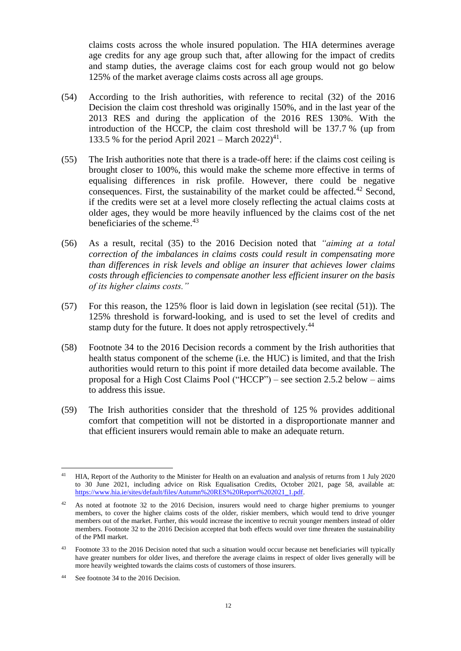claims costs across the whole insured population. The HIA determines average age credits for any age group such that, after allowing for the impact of credits and stamp duties, the average claims cost for each group would not go below 125% of the market average claims costs across all age groups.

- <span id="page-11-0"></span>(54) According to the Irish authorities, with reference to recital (32) of the 2016 Decision the claim cost threshold was originally 150%, and in the last year of the 2013 RES and during the application of the 2016 RES 130%. With the introduction of the HCCP, the claim cost threshold will be 137.7 % (up from 133.5 % for the period April 2021 – March 2022)<sup>41</sup>.
- <span id="page-11-1"></span>(55) The Irish authorities note that there is a trade-off here: if the claims cost ceiling is brought closer to 100%, this would make the scheme more effective in terms of equalising differences in risk profile. However, there could be negative consequences. First, the sustainability of the market could be affected.<sup>42</sup> Second, if the credits were set at a level more closely reflecting the actual claims costs at older ages, they would be more heavily influenced by the claims cost of the net beneficiaries of the scheme.<sup>43</sup>
- (56) As a result, recital (35) to the 2016 Decision noted that *"aiming at a total correction of the imbalances in claims costs could result in compensating more than differences in risk levels and oblige an insurer that achieves lower claims costs through efficiencies to compensate another less efficient insurer on the basis of its higher claims costs."*
- (57) For this reason, the 125% floor is laid down in legislation (see recital [\(51\)\)](#page-10-0). The 125% threshold is forward-looking, and is used to set the level of credits and stamp duty for the future. It does not apply retrospectively.<sup>44</sup>
- (58) Footnote 34 to the 2016 Decision records a comment by the Irish authorities that health status component of the scheme (i.e. the HUC) is limited, and that the Irish authorities would return to this point if more detailed data become available. The proposal for a High Cost Claims Pool ("HCCP") – see section [2.5.2 below](#page-12-0) – aims to address this issue.
- (59) The Irish authorities consider that the threshold of 125 % provides additional comfort that competition will not be distorted in a disproportionate manner and that efficient insurers would remain able to make an adequate return.

 $\overline{a}$ <sup>41</sup> HIA, Report of the Authority to the Minister for Health on an evaluation and analysis of returns from 1 July 2020 to 30 June 2021, including advice on Risk Equalisation Credits, October 2021, page 58, available at: [https://www.hia.ie/sites/default/files/Autumn%20RES%20Report%202021\\_1.pdf.](https://www.hia.ie/sites/default/files/Autumn%20RES%20Report%202021_1.pdf)

<sup>&</sup>lt;sup>42</sup> As noted at footnote 32 to the 2016 Decision, insurers would need to charge higher premiums to younger members, to cover the higher claims costs of the older, riskier members, which would tend to drive younger members out of the market. Further, this would increase the incentive to recruit younger members instead of older members. Footnote 32 to the 2016 Decision accepted that both effects would over time threaten the sustainability of the PMI market.

<sup>43</sup> Footnote 33 to the 2016 Decision noted that such a situation would occur because net beneficiaries will typically have greater numbers for older lives, and therefore the average claims in respect of older lives generally will be more heavily weighted towards the claims costs of customers of those insurers.

<sup>44</sup> See footnote 34 to the 2016 Decision.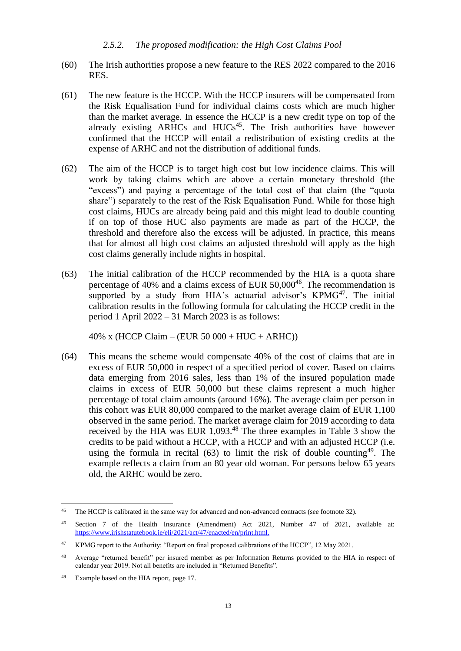### *2.5.2. The proposed modification: the High Cost Claims Pool*

- <span id="page-12-0"></span>(60) The Irish authorities propose a new feature to the RES 2022 compared to the 2016 RES.
- <span id="page-12-2"></span>(61) The new feature is the HCCP. With the HCCP insurers will be compensated from the Risk Equalisation Fund for individual claims costs which are much higher than the market average. In essence the HCCP is a new credit type on top of the already existing ARHCs and HUCs<sup>45</sup>. The Irish authorities have however confirmed that the HCCP will entail a redistribution of existing credits at the expense of ARHC and not the distribution of additional funds.
- (62) The aim of the HCCP is to target high cost but low incidence claims. This will work by taking claims which are above a certain monetary threshold (the "excess") and paying a percentage of the total cost of that claim (the "quota share") separately to the rest of the Risk Equalisation Fund. While for those high cost claims, HUCs are already being paid and this might lead to double counting if on top of those HUC also payments are made as part of the HCCP, the threshold and therefore also the excess will be adjusted. In practice, this means that for almost all high cost claims an adjusted threshold will apply as the high cost claims generally include nights in hospital.
- <span id="page-12-1"></span>(63) The initial calibration of the HCCP recommended by the HIA is a quota share percentage of 40% and a claims excess of EUR 50,000<sup>46</sup>. The recommendation is supported by a study from HIA's actuarial advisor's  $KPMG^{47}$ . The initial calibration results in the following formula for calculating the HCCP credit in the period 1 April 2022 – 31 March 2023 is as follows:

40% x (HCCP Claim – (EUR 50 000 + HUC + ARHC))

(64) This means the scheme would compensate 40% of the cost of claims that are in excess of EUR 50,000 in respect of a specified period of cover. Based on claims data emerging from 2016 sales, less than 1% of the insured population made claims in excess of EUR 50,000 but these claims represent a much higher percentage of total claim amounts (around 16%). The average claim per person in this cohort was EUR 80,000 compared to the market average claim of EUR 1,100 observed in the same period. The market average claim for 2019 according to data received by the HIA was EUR 1,093.<sup>48</sup> The three examples in Table 3 show the credits to be paid without a HCCP, with a HCCP and with an adjusted HCCP (i.e. using the formula in recital [\(63\)](#page-12-1) to limit the risk of double counting <sup>49</sup>. The example reflects a claim from an 80 year old woman. For persons below 65 years old, the ARHC would be zero.

 $\overline{a}$ <sup>45</sup> The HCCP is calibrated in the same way for advanced and non-advanced contracts (see footnot[e 32\)](#page-7-2).

<sup>46</sup> Section 7 of the Health Insurance (Amendment) Act 2021, Number 47 of 2021, available at: [https://www.irishstatutebook.ie/eli/2021/act/47/enacted/en/print.html.](https://www.irishstatutebook.ie/eli/2021/act/47/enacted/en/print.html)

<sup>47</sup> KPMG report to the Authority: "Report on final proposed calibrations of the HCCP", 12 May 2021.

<sup>48</sup> Average "returned benefit" per insured member as per Information Returns provided to the HIA in respect of calendar year 2019. Not all benefits are included in "Returned Benefits".

<sup>49</sup> Example based on the HIA report, page 17.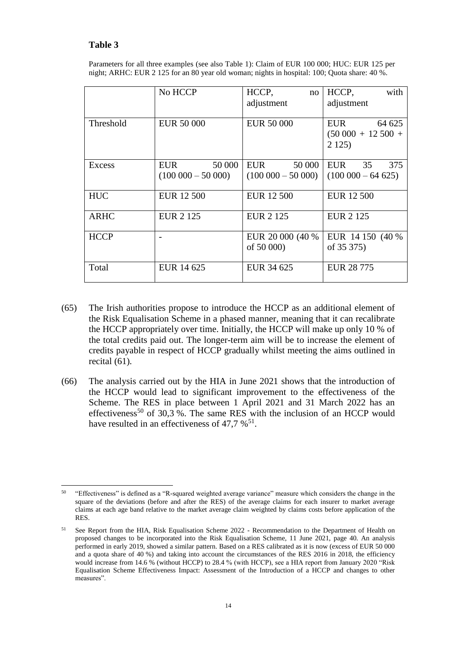## **Table 3**

Parameters for all three examples (see also Table 1): Claim of EUR 100 000; HUC: EUR 125 per night; ARHC: EUR 2 125 for an 80 year old woman; nights in hospital: 100; Quota share: 40 %.

|             | No HCCP                | HCCP,<br>no            | with<br>HCCP,           |
|-------------|------------------------|------------------------|-------------------------|
|             |                        | adjustment             | adjustment              |
|             |                        |                        |                         |
| Threshold   | <b>EUR 50 000</b>      | <b>EUR 50 000</b>      | EUR<br>64 625           |
|             |                        |                        | $(50\ 000 + 12\ 500 +$  |
|             |                        |                        | 2125                    |
|             |                        |                        |                         |
| Excess      | 50 000<br><b>EUR</b>   | 50 000<br>EUR          | 35<br><b>EUR</b><br>375 |
|             | $(100\ 000 - 50\ 000)$ | $(100\,000 - 50\,000)$ | $(100\,000 - 64\,625)$  |
|             |                        |                        |                         |
| <b>HUC</b>  | <b>EUR 12 500</b>      | <b>EUR 12 500</b>      | <b>EUR 12 500</b>       |
|             |                        |                        |                         |
| <b>ARHC</b> | <b>EUR 2 125</b>       | <b>EUR 2 125</b>       | <b>EUR 2 125</b>        |
|             |                        |                        |                         |
| <b>HCCP</b> |                        | EUR 20 000 (40 %)      | EUR 14 150 (40 %)       |
|             |                        | of 50 000)             | of 35 375)              |
|             |                        |                        |                         |
| Total       | EUR 14 625             | EUR 34 625             | EUR 28 775              |
|             |                        |                        |                         |

- (65) The Irish authorities propose to introduce the HCCP as an additional element of the Risk Equalisation Scheme in a phased manner, meaning that it can recalibrate the HCCP appropriately over time. Initially, the HCCP will make up only 10 % of the total credits paid out. The longer-term aim will be to increase the element of credits payable in respect of HCCP gradually whilst meeting the aims outlined in recital [\(61\).](#page-12-2)
- <span id="page-13-0"></span>(66) The analysis carried out by the HIA in June 2021 shows that the introduction of the HCCP would lead to significant improvement to the effectiveness of the Scheme. The RES in place between 1 April 2021 and 31 March 2022 has an effectiveness<sup>50</sup> of 30,3 %. The same RES with the inclusion of an HCCP would have resulted in an effectiveness of 47,7  $\%$ <sup>51</sup>.

 $\overline{a}$ <sup>50</sup> "Effectiveness" is defined as a "R-squared weighted average variance" measure which considers the change in the square of the deviations (before and after the RES) of the average claims for each insurer to market average claims at each age band relative to the market average claim weighted by claims costs before application of the RES.

<sup>&</sup>lt;sup>51</sup> See Report from the HIA, Risk Equalisation Scheme 2022 - Recommendation to the Department of Health on proposed changes to be incorporated into the Risk Equalisation Scheme, 11 June 2021, page 40. An analysis performed in early 2019, showed a similar pattern. Based on a RES calibrated as it is now (excess of EUR 50 000 and a quota share of 40 %) and taking into account the circumstances of the RES 2016 in 2018, the efficiency would increase from 14.6 % (without HCCP) to 28.4 % (with HCCP), see a HIA report from January 2020 "Risk Equalisation Scheme Effectiveness Impact: Assessment of the Introduction of a HCCP and changes to other measures".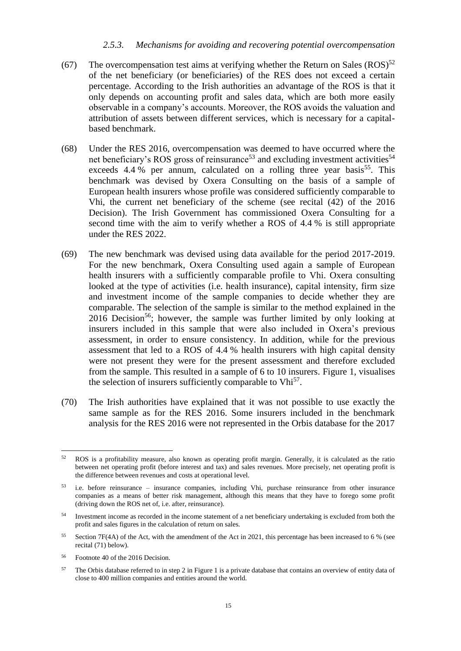#### *2.5.3. Mechanisms for avoiding and recovering potential overcompensation*

- <span id="page-14-2"></span><span id="page-14-0"></span>(67) The overcompensation test aims at verifying whether the Return on Sales  $(ROS)^{52}$ of the net beneficiary (or beneficiaries) of the RES does not exceed a certain percentage. According to the Irish authorities an advantage of the ROS is that it only depends on accounting profit and sales data, which are both more easily observable in a company's accounts. Moreover, the ROS avoids the valuation and attribution of assets between different services, which is necessary for a capitalbased benchmark.
- (68) Under the RES 2016, overcompensation was deemed to have occurred where the net beneficiary's ROS gross of reinsurance<sup>53</sup> and excluding investment activities<sup>54</sup> exceeds  $4.4\%$  per annum, calculated on a rolling three year basis<sup>55</sup>. This benchmark was devised by Oxera Consulting on the basis of a sample of European health insurers whose profile was considered sufficiently comparable to Vhi, the current net beneficiary of the scheme (see recital (42) of the 2016 Decision). The Irish Government has commissioned Oxera Consulting for a second time with the aim to verify whether a ROS of 4.4 % is still appropriate under the RES 2022.
- <span id="page-14-1"></span>(69) The new benchmark was devised using data available for the period 2017-2019. For the new benchmark, Oxera Consulting used again a sample of European health insurers with a sufficiently comparable profile to Vhi. Oxera consulting looked at the type of activities (i.e. health insurance), capital intensity, firm size and investment income of the sample companies to decide whether they are comparable. The selection of the sample is similar to the method explained in the  $2016$  Decision<sup>56</sup>; however, the sample was further limited by only looking at insurers included in this sample that were also included in Oxera's previous assessment, in order to ensure consistency. In addition, while for the previous assessment that led to a ROS of 4.4 % health insurers with high capital density were not present they were for the present assessment and therefore excluded from the sample. This resulted in a sample of 6 to 10 insurers. Figure 1, visualises the selection of insurers sufficiently comparable to Vhi<sup>57</sup>.
- (70) The Irish authorities have explained that it was not possible to use exactly the same sample as for the RES 2016. Some insurers included in the benchmark analysis for the RES 2016 were not represented in the Orbis database for the 2017

<sup>56</sup> Footnote 40 of the 2016 Decision.

<sup>52</sup> ROS is a profitability measure, also known as operating profit margin. Generally, it is calculated as the ratio between net operating profit (before interest and tax) and sales revenues. More precisely, net operating profit is the difference between revenues and costs at operational level.

<sup>53</sup> i.e. before reinsurance – insurance companies, including Vhi, purchase reinsurance from other insurance companies as a means of better risk management, although this means that they have to forego some profit (driving down the ROS net of, i.e. after, reinsurance).

<sup>54</sup> Investment income as recorded in the income statement of a net beneficiary undertaking is excluded from both the profit and sales figures in the calculation of return on sales.

<sup>55</sup> Section 7F(4A) of the Act, with the amendment of the Act in 2021, this percentage has been increased to 6 % (see recital [\(71\)](#page-15-0) below).

<sup>&</sup>lt;sup>57</sup> The Orbis database referred to in step 2 in Figure 1 is a private database that contains an overview of entity data of close to 400 million companies and entities around the world.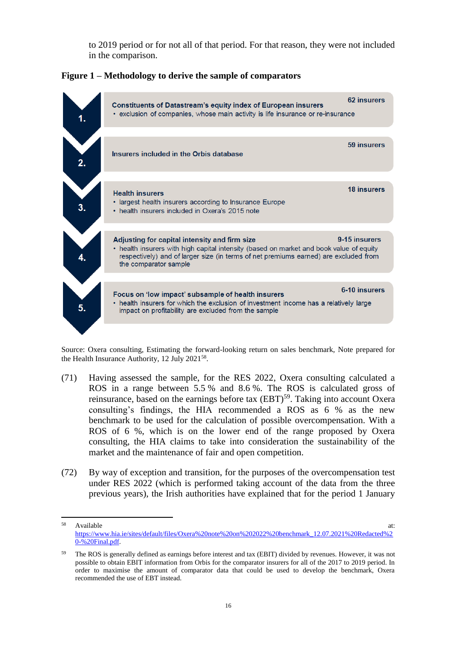to 2019 period or for not all of that period. For that reason, they were not included in the comparison.

**Figure 1 – Methodology to derive the sample of comparators**



Source: Oxera consulting, Estimating the forward-looking return on sales benchmark, Note prepared for the Health Insurance Authority, 12 July 2021<sup>58</sup>.

- <span id="page-15-0"></span>(71) Having assessed the sample, for the RES 2022, Oxera consulting calculated a ROS in a range between 5.5 % and 8.6 %. The ROS is calculated gross of reinsurance, based on the earnings before tax (EBT)<sup>59</sup>. Taking into account Oxera consulting's findings, the HIA recommended a ROS as 6 % as the new benchmark to be used for the calculation of possible overcompensation. With a ROS of 6 %, which is on the lower end of the range proposed by Oxera consulting, the HIA claims to take into consideration the sustainability of the market and the maintenance of fair and open competition.
- (72) By way of exception and transition, for the purposes of the overcompensation test under RES 2022 (which is performed taking account of the data from the three previous years), the Irish authorities have explained that for the period 1 January

<sup>58</sup> Available at:  $\frac{1}{2}$  at:  $\frac{1}{2}$  at:  $\frac{1}{2}$  at:  $\frac{1}{2}$  at:  $\frac{1}{2}$  at: [https://www.hia.ie/sites/default/files/Oxera%20note%20on%202022%20benchmark\\_12.07.2021%20Redacted%2](https://www.hia.ie/sites/default/files/Oxera%20note%20on%202022%20benchmark_12.07.2021%20Redacted%20-%20Final.pdf) [0-%20Final.pdf.](https://www.hia.ie/sites/default/files/Oxera%20note%20on%202022%20benchmark_12.07.2021%20Redacted%20-%20Final.pdf)

<sup>&</sup>lt;sup>59</sup> The ROS is generally defined as earnings before interest and tax (EBIT) divided by revenues. However, it was not possible to obtain EBIT information from Orbis for the comparator insurers for all of the 2017 to 2019 period. In order to maximise the amount of comparator data that could be used to develop the benchmark, Oxera recommended the use of EBT instead.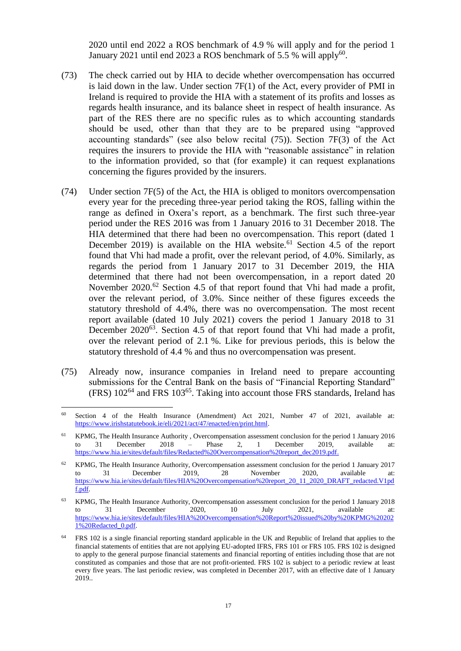2020 until end 2022 a ROS benchmark of 4.9 % will apply and for the period 1 January 2021 until end 2023 a ROS benchmark of 5.5 % will apply<sup>60</sup>.

- <span id="page-16-1"></span>(73) The check carried out by HIA to decide whether overcompensation has occurred is laid down in the law. Under section 7F(1) of the Act, every provider of PMI in Ireland is required to provide the HIA with a statement of its profits and losses as regards health insurance, and its balance sheet in respect of health insurance. As part of the RES there are no specific rules as to which accounting standards should be used, other than that they are to be prepared using "approved accounting standards" (see also below recital [\(75\)\)](#page-16-0). Section 7F(3) of the Act requires the insurers to provide the HIA with "reasonable assistance" in relation to the information provided, so that (for example) it can request explanations concerning the figures provided by the insurers.
- (74) Under section 7F(5) of the Act, the HIA is obliged to monitors overcompensation every year for the preceding three-year period taking the ROS, falling within the range as defined in Oxera's report, as a benchmark. The first such three-year period under the RES 2016 was from 1 January 2016 to 31 December 2018. The HIA determined that there had been no overcompensation. This report (dated 1 December 2019) is available on the HIA website.<sup>61</sup> Section 4.5 of the report found that Vhi had made a profit, over the relevant period, of 4.0%. Similarly, as regards the period from 1 January 2017 to 31 December 2019, the HIA determined that there had not been overcompensation, in a report dated 20 November 2020.<sup>62</sup> Section 4.5 of that report found that Vhi had made a profit, over the relevant period, of 3.0%. Since neither of these figures exceeds the statutory threshold of 4.4%, there was no overcompensation. The most recent report available (dated 10 July 2021) covers the period 1 January 2018 to 31 December 2020<sup>63</sup>. Section 4.5 of that report found that Vhi had made a profit, over the relevant period of 2.1 %. Like for previous periods, this is below the statutory threshold of 4.4 % and thus no overcompensation was present.
- <span id="page-16-0"></span>(75) Already now, insurance companies in Ireland need to prepare accounting submissions for the Central Bank on the basis of "Financial Reporting Standard"  $(FRS)$  102<sup>64</sup> and FRS 103<sup>65</sup>. Taking into account those FRS standards, Ireland has

<sup>60</sup> Section 4 of the Health Insurance (Amendment) Act 2021, Number 47 of 2021, available at: [https://www.irishstatutebook.ie/eli/2021/act/47/enacted/en/print.html.](https://www.irishstatutebook.ie/eli/2021/act/47/enacted/en/print.html)

<sup>&</sup>lt;sup>61</sup> KPMG, The Health Insurance Authority , Overcompensation assessment conclusion for the period 1 January 2016 to 31 December 2018 – Phase 2, 1 December 2019, available at: [https://www.hia.ie/sites/default/files/Redacted%20Overcompensation%20report\\_dec2019.pdf.](https://www.hia.ie/sites/default/files/Redacted%20Overcompensation%20report_dec2019.pdf)

 $62$  KPMG, The Health Insurance Authority, Overcompensation assessment conclusion for the period 1 January 2017 to 31 December 2019, 28 November 2020, available at: [https://www.hia.ie/sites/default/files/HIA%20Overcompensation%20report\\_20\\_11\\_2020\\_DRAFT\\_redacted.V1pd](https://www.hia.ie/sites/default/files/HIA%20Overcompensation%20report_20_11_2020_DRAFT_redacted.V1pdf.pdf) [f.pdf.](https://www.hia.ie/sites/default/files/HIA%20Overcompensation%20report_20_11_2020_DRAFT_redacted.V1pdf.pdf)

<sup>63</sup> KPMG, The Health Insurance Authority, Overcompensation assessment conclusion for the period 1 January 2018 to 31 December 2020, 10 July 2021, available at: [https://www.hia.ie/sites/default/files/HIA%20Overcompensation%20Report%20issued%20by%20KPMG%20202](https://www.hia.ie/sites/default/files/HIA%20Overcompensation%20Report%20issued%20by%20KPMG%202021%20Redacted_0.pdf) [1%20Redacted\\_0.pdf.](https://www.hia.ie/sites/default/files/HIA%20Overcompensation%20Report%20issued%20by%20KPMG%202021%20Redacted_0.pdf)

<sup>64</sup> FRS 102 is a single financial reporting standard applicable in the UK and Republic of Ireland that applies to the financial statements of entities that are not applying EU-adopted IFRS, FRS 101 or FRS 105. FRS 102 is designed to apply to the general purpose financial statements and financial reporting of entities including those that are not constituted as companies and those that are not profit-oriented. FRS 102 is subject to a periodic review at least every five years. The last periodic review, was completed in December 2017, with an effective date of 1 January 2019..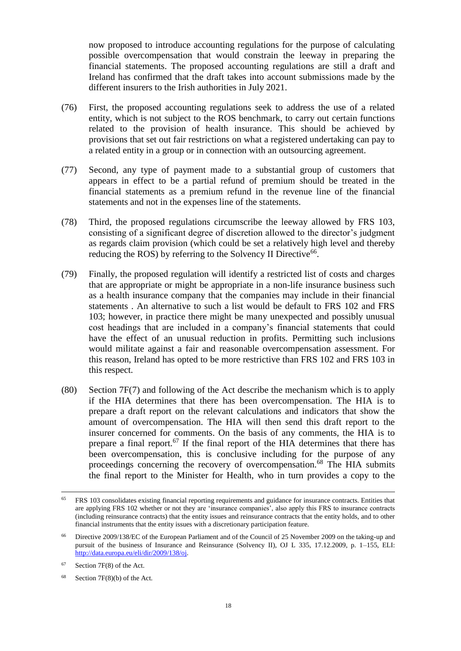now proposed to introduce accounting regulations for the purpose of calculating possible overcompensation that would constrain the leeway in preparing the financial statements. The proposed accounting regulations are still a draft and Ireland has confirmed that the draft takes into account submissions made by the different insurers to the Irish authorities in July 2021.

- (76) First, the proposed accounting regulations seek to address the use of a related entity, which is not subject to the ROS benchmark, to carry out certain functions related to the provision of health insurance. This should be achieved by provisions that set out fair restrictions on what a registered undertaking can pay to a related entity in a group or in connection with an outsourcing agreement.
- (77) Second, any type of payment made to a substantial group of customers that appears in effect to be a partial refund of premium should be treated in the financial statements as a premium refund in the revenue line of the financial statements and not in the expenses line of the statements.
- <span id="page-17-2"></span>(78) Third, the proposed regulations circumscribe the leeway allowed by FRS 103, consisting of a significant degree of discretion allowed to the director's judgment as regards claim provision (which could be set a relatively high level and thereby reducing the ROS) by referring to the Solvency II Directive<sup>66</sup>.
- <span id="page-17-0"></span>(79) Finally, the proposed regulation will identify a restricted list of costs and charges that are appropriate or might be appropriate in a non-life insurance business such as a health insurance company that the companies may include in their financial statements . An alternative to such a list would be default to FRS 102 and FRS 103; however, in practice there might be many unexpected and possibly unusual cost headings that are included in a company's financial statements that could have the effect of an unusual reduction in profits. Permitting such inclusions would militate against a fair and reasonable overcompensation assessment. For this reason, Ireland has opted to be more restrictive than FRS 102 and FRS 103 in this respect.
- <span id="page-17-1"></span>(80) Section 7F(7) and following of the Act describe the mechanism which is to apply if the HIA determines that there has been overcompensation. The HIA is to prepare a draft report on the relevant calculations and indicators that show the amount of overcompensation. The HIA will then send this draft report to the insurer concerned for comments. On the basis of any comments, the HIA is to prepare a final report.<sup>67</sup> If the final report of the HIA determines that there has been overcompensation, this is conclusive including for the purpose of any proceedings concerning the recovery of overcompensation.<sup>68</sup> The HIA submits the final report to the Minister for Health, who in turn provides a copy to the

<sup>65</sup> FRS 103 consolidates existing financial reporting requirements and guidance for insurance contracts. Entities that are applying FRS 102 whether or not they are 'insurance companies', also apply this FRS to insurance contracts (including reinsurance contracts) that the entity issues and reinsurance contracts that the entity holds, and to other financial instruments that the entity issues with a discretionary participation feature.

<sup>66</sup> Directive 2009/138/EC of the European Parliament and of the Council of 25 November 2009 on the taking-up and pursuit of the business of Insurance and Reinsurance (Solvency II), OJ L 335, 17.12.2009, p. 1–155, ELI: [http://data.europa.eu/eli/dir/2009/138/oj.](http://data.europa.eu/eli/dir/2009/138/oj)

<sup>67</sup> Section 7F(8) of the Act.

 $68$  Section 7F(8)(b) of the Act.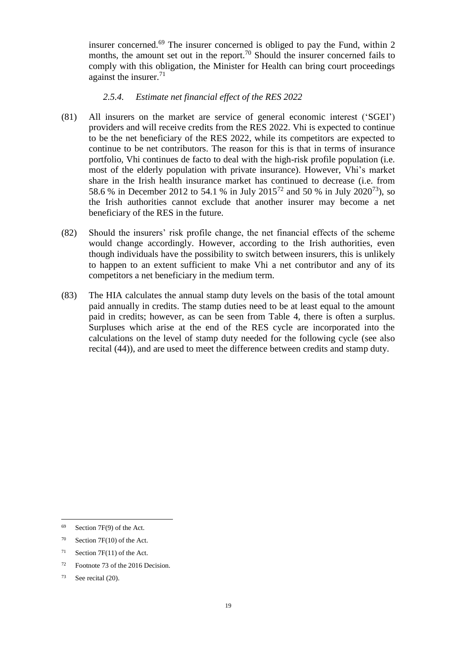insurer concerned.<sup>69</sup> The insurer concerned is obliged to pay the Fund, within 2 months, the amount set out in the report.<sup>70</sup> Should the insurer concerned fails to comply with this obligation, the Minister for Health can bring court proceedings against the insurer. $71$ 

## *2.5.4. Estimate net financial effect of the RES 2022*

- (81) All insurers on the market are service of general economic interest ('SGEI') providers and will receive credits from the RES 2022. Vhi is expected to continue to be the net beneficiary of the RES 2022, while its competitors are expected to continue to be net contributors. The reason for this is that in terms of insurance portfolio, Vhi continues de facto to deal with the high-risk profile population (i.e. most of the elderly population with private insurance). However, Vhi's market share in the Irish health insurance market has continued to decrease (i.e. from 58.6 % in December 2012 to 54.1 % in July 2015<sup>72</sup> and 50 % in July 2020<sup>73</sup>), so the Irish authorities cannot exclude that another insurer may become a net beneficiary of the RES in the future.
- (82) Should the insurers' risk profile change, the net financial effects of the scheme would change accordingly. However, according to the Irish authorities, even though individuals have the possibility to switch between insurers, this is unlikely to happen to an extent sufficient to make Vhi a net contributor and any of its competitors a net beneficiary in the medium term.
- (83) The HIA calculates the annual stamp duty levels on the basis of the total amount paid annually in credits. The stamp duties need to be at least equal to the amount paid in credits; however, as can be seen from Table 4, there is often a surplus. Surpluses which arise at the end of the RES cycle are incorporated into the calculations on the level of stamp duty needed for the following cycle (see also recital [\(44\)\)](#page-8-1), and are used to meet the difference between credits and stamp duty.

<sup>69</sup> Section 7F(9) of the Act.

<sup>70</sup> Section 7F(10) of the Act.

 $71$  Section 7F(11) of the Act.

<sup>72</sup> Footnote 73 of the 2016 Decision.

<sup>73</sup> See recital [\(20\).](#page-3-1)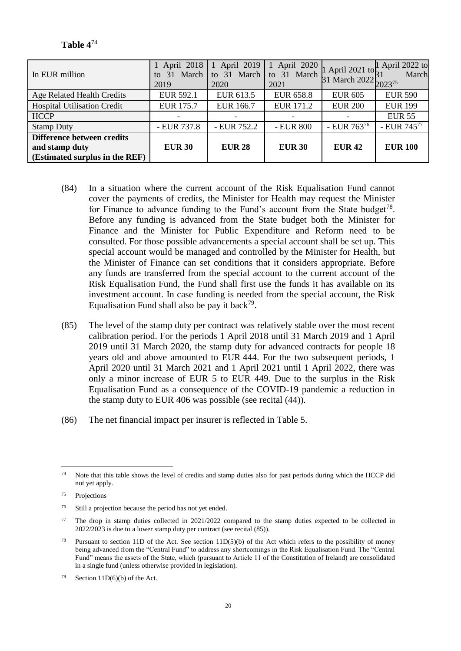| In EUR million                                                                 | 1 April 2018<br>March<br>31<br>to<br>2019 | 1 April 2019<br>to 31 March<br>2020 | April 2020<br>$\mathbf{1}$<br>to 31 March<br>2021 | 1 April 2021 to<br>$31$ March $2022_{2023^{75}}^{11}$ | April 2022 to<br>March |
|--------------------------------------------------------------------------------|-------------------------------------------|-------------------------------------|---------------------------------------------------|-------------------------------------------------------|------------------------|
| Age Related Health Credits                                                     | <b>EUR 592.1</b>                          | EUR 613.5                           | <b>EUR 658.8</b>                                  | <b>EUR 605</b>                                        | <b>EUR 590</b>         |
| <b>Hospital Utilisation Credit</b>                                             | <b>EUR 175.7</b>                          | <b>EUR 166.7</b>                    | <b>EUR 171.2</b>                                  | <b>EUR 200</b>                                        | <b>EUR 199</b>         |
| <b>HCCP</b>                                                                    |                                           |                                     |                                                   |                                                       | <b>EUR 55</b>          |
| <b>Stamp Duty</b>                                                              | - EUR 737.8                               | - EUR 752.2                         | - EUR 800                                         | - EUR 76376                                           | - EUR 74577            |
| Difference between credits<br>and stamp duty<br>(Estimated surplus in the REF) | <b>EUR 30</b>                             | <b>EUR 28</b>                       | <b>EUR 30</b>                                     | <b>EUR 42</b>                                         | <b>EUR 100</b>         |

**Table 4** 74

- <span id="page-19-1"></span>(84) In a situation where the current account of the Risk Equalisation Fund cannot cover the payments of credits, the Minister for Health may request the Minister for Finance to advance funding to the Fund's account from the State budget<sup>78</sup>. Before any funding is advanced from the State budget both the Minister for Finance and the Minister for Public Expenditure and Reform need to be consulted. For those possible advancements a special account shall be set up. This special account would be managed and controlled by the Minister for Health, but the Minister of Finance can set conditions that it considers appropriate. Before any funds are transferred from the special account to the current account of the Risk Equalisation Fund, the Fund shall first use the funds it has available on its investment account. In case funding is needed from the special account, the Risk Equalisation Fund shall also be pay it back<sup>79</sup>.
- <span id="page-19-0"></span>(85) The level of the stamp duty per contract was relatively stable over the most recent calibration period. For the periods 1 April 2018 until 31 March 2019 and 1 April 2019 until 31 March 2020, the stamp duty for advanced contracts for people 18 years old and above amounted to EUR 444. For the two subsequent periods, 1 April 2020 until 31 March 2021 and 1 April 2021 until 1 April 2022, there was only a minor increase of EUR 5 to EUR 449. Due to the surplus in the Risk Equalisation Fund as a consequence of the COVID-19 pandemic a reduction in the stamp duty to EUR 406 was possible (see recital [\(44\)\)](#page-8-1).
- (86) The net financial impact per insurer is reflected in Table 5.

<sup>74</sup> Note that this table shows the level of credits and stamp duties also for past periods during which the HCCP did not yet apply.

<sup>75</sup> Projections

<sup>76</sup> Still a projection because the period has not yet ended.

<sup>77</sup> The drop in stamp duties collected in 2021/2022 compared to the stamp duties expected to be collected in 2022/2023 is due to a lower stamp duty per contract (see recital [\(85\)\)](#page-19-0).

<sup>&</sup>lt;sup>78</sup> Pursuant to section 11D of the Act. See section  $11D(5)(b)$  of the Act which refers to the possibility of money being advanced from the "Central Fund" to address any shortcomings in the Risk Equalisation Fund. The "Central Fund" means the assets of the State, which (pursuant to Article 11 of the Constitution of Ireland) are consolidated in a single fund (unless otherwise provided in legislation).

Section  $11D(6)(b)$  of the Act.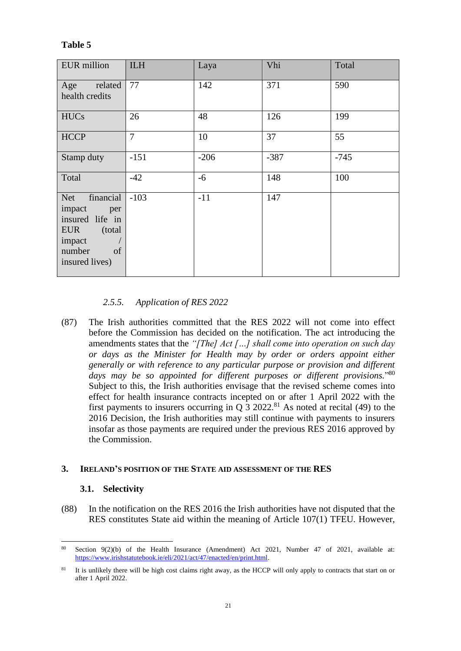| <b>EUR</b> million                                                                                                        | <b>ILH</b>     | Laya   | Vhi    | Total  |
|---------------------------------------------------------------------------------------------------------------------------|----------------|--------|--------|--------|
| Age<br>related<br>health credits                                                                                          | 77             | 142    | 371    | 590    |
| <b>HUCs</b>                                                                                                               | 26             | 48     | 126    | 199    |
| <b>HCCP</b>                                                                                                               | $\overline{7}$ | 10     | 37     | 55     |
| Stamp duty                                                                                                                | $-151$         | $-206$ | $-387$ | $-745$ |
| Total                                                                                                                     | $-42$          | $-6$   | 148    | 100    |
| financial<br>Net<br>impact<br>per<br>insured life in<br><b>EUR</b><br>(total)<br>impact<br>number<br>of<br>insured lives) | $-103$         | $-11$  | 147    |        |

## **Table 5**

## *2.5.5. Application of RES 2022*

<span id="page-20-0"></span>(87) The Irish authorities committed that the RES 2022 will not come into effect before the Commission has decided on the notification. The act introducing the amendments states that the *"[The] Act […] shall come into operation on such day or days as the Minister for Health may by order or orders appoint either generally or with reference to any particular purpose or provision and different days may be so appointed for different purposes or different provisions.*" 80 Subject to this, the Irish authorities envisage that the revised scheme comes into effect for health insurance contracts incepted on or after 1 April 2022 with the first payments to insurers occurring in Q  $3\ 2022$ .<sup>81</sup> As noted at recital (49) to the 2016 Decision, the Irish authorities may still continue with payments to insurers insofar as those payments are required under the previous RES 2016 approved by the Commission.

## **3. IRELAND'S POSITION OF THE STATE AID ASSESSMENT OF THE RES**

### **3.1. Selectivity**

(88) In the notification on the RES 2016 the Irish authorities have not disputed that the RES constitutes State aid within the meaning of Article 107(1) TFEU. However,

 $\overline{a}$ <sup>80</sup> Section 9(2)(b) of the Health Insurance (Amendment) Act 2021, Number 47 of 2021, available at: [https://www.irishstatutebook.ie/eli/2021/act/47/enacted/en/print.html.](https://www.irishstatutebook.ie/eli/2021/act/47/enacted/en/print.html)

<sup>&</sup>lt;sup>81</sup> It is unlikely there will be high cost claims right away, as the HCCP will only apply to contracts that start on or after 1 April 2022.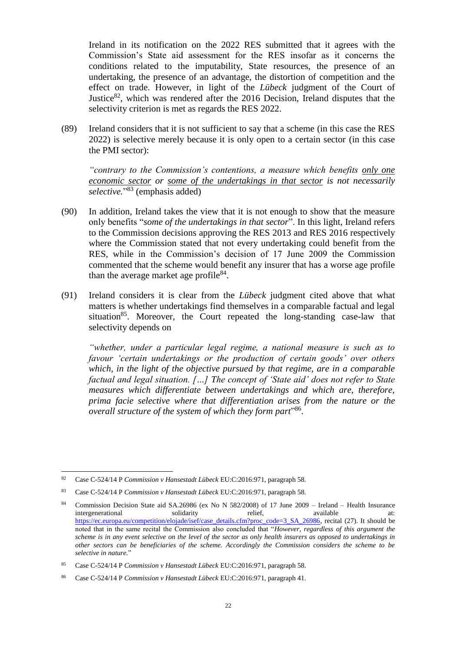Ireland in its notification on the 2022 RES submitted that it agrees with the Commission's State aid assessment for the RES insofar as it concerns the conditions related to the imputability, State resources, the presence of an undertaking, the presence of an advantage, the distortion of competition and the effect on trade. However, in light of the *Lübeck* judgment of the Court of Justice<sup>82</sup>, which was rendered after the 2016 Decision, Ireland disputes that the selectivity criterion is met as regards the RES 2022.

(89) Ireland considers that it is not sufficient to say that a scheme (in this case the RES 2022) is selective merely because it is only open to a certain sector (in this case the PMI sector):

*"contrary to the Commission's contentions, a measure which benefits only one economic sector or some of the undertakings in that sector is not necessarily*  selective."<sup>83</sup> (emphasis added)

- (90) In addition, Ireland takes the view that it is not enough to show that the measure only benefits "*some of the undertakings in that sector*". In this light, Ireland refers to the Commission decisions approving the RES 2013 and RES 2016 respectively where the Commission stated that not every undertaking could benefit from the RES, while in the Commission's decision of 17 June 2009 the Commission commented that the scheme would benefit any insurer that has a worse age profile than the average market age profile $^{84}$ .
- (91) Ireland considers it is clear from the *Lübeck* judgment cited above that what matters is whether undertakings find themselves in a comparable factual and legal situation<sup>85</sup>. Moreover, the Court repeated the long-standing case-law that selectivity depends on

*"whether, under a particular legal regime, a national measure is such as to favour 'certain undertakings or the production of certain goods' over others which, in the light of the objective pursued by that regime, are in a comparable factual and legal situation. […] The concept of 'State aid' does not refer to State measures which differentiate between undertakings and which are, therefore, prima facie selective where that differentiation arises from the nature or the overall structure of the system of which they form part*" 86 .

<sup>82</sup> Case C-524/14 P *Commission v Hansestadt Lübeck* EU:C:2016:971, paragraph 58.

<sup>83</sup> Case C-524/14 P *Commission v Hansestadt Lübeck* EU:C:2016:971, paragraph 58.

<sup>84</sup> Commission Decision State aid SA.26986 (ex No N 582/2008) of 17 June 2009 – Ireland – Health Insurance intergenerational solidarity relief, available at: [https://ec.europa.eu/competition/elojade/isef/case\\_details.cfm?proc\\_code=3\\_SA\\_26986,](https://ec.europa.eu/competition/elojade/isef/case_details.cfm?proc_code=3_SA_26986) recital (27). It should be noted that in the same recital the Commission also concluded that "*However, regardless of this argument the scheme is in any event selective on the level of the sector as only health insurers as opposed to undertakings in other sectors can be beneficiaries of the scheme. Accordingly the Commission considers the scheme to be selective in nature.*"

<sup>85</sup> Case C-524/14 P *Commission v Hansestadt Lübeck* EU:C:2016:971, paragraph 58.

<sup>86</sup> Case C-524/14 P *Commission v Hansestadt Lübeck* EU:C:2016:971, paragraph 41.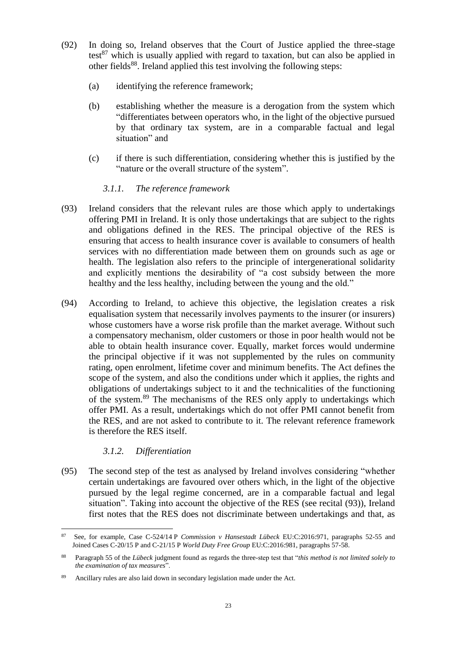- <span id="page-22-1"></span>(92) In doing so, Ireland observes that the Court of Justice applied the three-stage test $^{87}$  which is usually applied with regard to taxation, but can also be applied in other fields<sup>88</sup>. Ireland applied this test involving the following steps:
	- (a) identifying the reference framework;
	- (b) establishing whether the measure is a derogation from the system which "differentiates between operators who, in the light of the objective pursued by that ordinary tax system, are in a comparable factual and legal situation" and
	- (c) if there is such differentiation, considering whether this is justified by the "nature or the overall structure of the system".

## *3.1.1. The reference framework*

- <span id="page-22-0"></span>(93) Ireland considers that the relevant rules are those which apply to undertakings offering PMI in Ireland. It is only those undertakings that are subject to the rights and obligations defined in the RES. The principal objective of the RES is ensuring that access to health insurance cover is available to consumers of health services with no differentiation made between them on grounds such as age or health. The legislation also refers to the principle of intergenerational solidarity and explicitly mentions the desirability of "a cost subsidy between the more healthy and the less healthy, including between the young and the old."
- (94) According to Ireland, to achieve this objective, the legislation creates a risk equalisation system that necessarily involves payments to the insurer (or insurers) whose customers have a worse risk profile than the market average. Without such a compensatory mechanism, older customers or those in poor health would not be able to obtain health insurance cover. Equally, market forces would undermine the principal objective if it was not supplemented by the rules on community rating, open enrolment, lifetime cover and minimum benefits. The Act defines the scope of the system, and also the conditions under which it applies, the rights and obligations of undertakings subject to it and the technicalities of the functioning of the system.<sup>89</sup> The mechanisms of the RES only apply to undertakings which offer PMI. As a result, undertakings which do not offer PMI cannot benefit from the RES, and are not asked to contribute to it. The relevant reference framework is therefore the RES itself.

### *3.1.2. Differentiation*

(95) The second step of the test as analysed by Ireland involves considering "whether certain undertakings are favoured over others which, in the light of the objective pursued by the legal regime concerned, are in a comparable factual and legal situation". Taking into account the objective of the RES (see recital [\(93\)\)](#page-22-0), Ireland first notes that the RES does not discriminate between undertakings and that, as

 $\overline{a}$ <sup>87</sup> See, for example, Case C-524/14 P *Commission v Hansestadt Lübeck* EU:C:2016:971, paragraphs 52-55 and Joined Cases C-20/15 P and C-21/15 P *World Duty Free Group* EU:C:2016:981, paragraphs 57-58.

<sup>88</sup> Paragraph 55 of the *Lübeck* judgment found as regards the three-step test that "*this method is not limited solely to the examination of tax measures*".

<sup>89</sup> Ancillary rules are also laid down in secondary legislation made under the Act.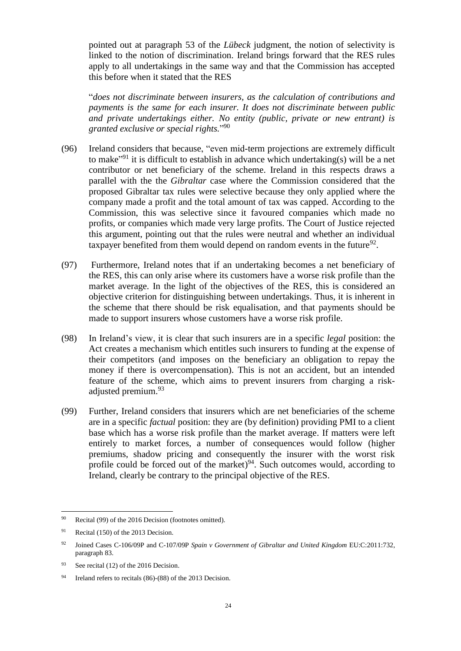pointed out at paragraph 53 of the *Lübeck* judgment, the notion of selectivity is linked to the notion of discrimination. Ireland brings forward that the RES rules apply to all undertakings in the same way and that the Commission has accepted this before when it stated that the RES

"*does not discriminate between insurers, as the calculation of contributions and payments is the same for each insurer. It does not discriminate between public and private undertakings either. No entity (public, private or new entrant) is granted exclusive or special rights.*" 90

- (96) Ireland considers that because, "even mid-term projections are extremely difficult to make<sup>"91</sup> it is difficult to establish in advance which undertaking(s) will be a net contributor or net beneficiary of the scheme. Ireland in this respects draws a parallel with the the *Gibraltar* case where the Commission considered that the proposed Gibraltar tax rules were selective because they only applied where the company made a profit and the total amount of tax was capped. According to the Commission, this was selective since it favoured companies which made no profits, or companies which made very large profits. The Court of Justice rejected this argument, pointing out that the rules were neutral and whether an individual taxpayer benefited from them would depend on random events in the future<sup>92</sup>.
- (97) Furthermore, Ireland notes that if an undertaking becomes a net beneficiary of the RES, this can only arise where its customers have a worse risk profile than the market average. In the light of the objectives of the RES, this is considered an objective criterion for distinguishing between undertakings. Thus, it is inherent in the scheme that there should be risk equalisation, and that payments should be made to support insurers whose customers have a worse risk profile.
- (98) In Ireland's view, it is clear that such insurers are in a specific *legal* position: the Act creates a mechanism which entitles such insurers to funding at the expense of their competitors (and imposes on the beneficiary an obligation to repay the money if there is overcompensation). This is not an accident, but an intended feature of the scheme, which aims to prevent insurers from charging a riskadjusted premium.<sup>93</sup>
- (99) Further, Ireland considers that insurers which are net beneficiaries of the scheme are in a specific *factual* position: they are (by definition) providing PMI to a client base which has a worse risk profile than the market average. If matters were left entirely to market forces, a number of consequences would follow (higher premiums, shadow pricing and consequently the insurer with the worst risk profile could be forced out of the market) $94$ . Such outcomes would, according to Ireland, clearly be contrary to the principal objective of the RES.

<sup>90</sup> Recital (99) of the 2016 Decision (footnotes omitted).

 $91$  Recital (150) of the 2013 Decision.

<sup>92</sup> Joined Cases C-106/09P and C-107/09P *Spain v Government of Gibraltar and United Kingdom* EU:C:2011:732, paragraph 83.

<sup>93</sup> See recital (12) of the 2016 Decision.

<sup>94</sup> Ireland refers to recitals (86)-(88) of the 2013 Decision.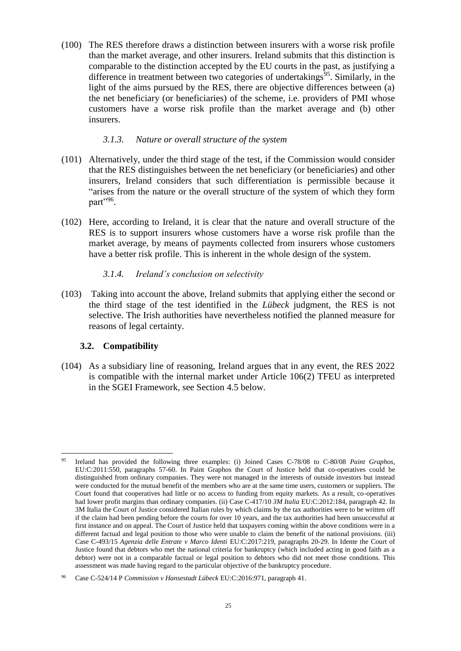(100) The RES therefore draws a distinction between insurers with a worse risk profile than the market average, and other insurers. Ireland submits that this distinction is comparable to the distinction accepted by the EU courts in the past, as justifying a difference in treatment between two categories of undertakings<sup>95</sup>. Similarly, in the light of the aims pursued by the RES, there are objective differences between (a) the net beneficiary (or beneficiaries) of the scheme, i.e. providers of PMI whose customers have a worse risk profile than the market average and (b) other insurers.

#### *3.1.3. Nature or overall structure of the system*

- (101) Alternatively, under the third stage of the test, if the Commission would consider that the RES distinguishes between the net beneficiary (or beneficiaries) and other insurers, Ireland considers that such differentiation is permissible because it "arises from the nature or the overall structure of the system of which they form part",96
- (102) Here, according to Ireland, it is clear that the nature and overall structure of the RES is to support insurers whose customers have a worse risk profile than the market average, by means of payments collected from insurers whose customers have a better risk profile. This is inherent in the whole design of the system.

### *3.1.4. Ireland's conclusion on selectivity*

(103) Taking into account the above, Ireland submits that applying either the second or the third stage of the test identified in the *Lübeck* judgment, the RES is not selective. The Irish authorities have nevertheless notified the planned measure for reasons of legal certainty.

### **3.2. Compatibility**

(104) As a subsidiary line of reasoning, Ireland argues that in any event, the RES 2022 is compatible with the internal market under Article 106(2) TFEU as interpreted in the SGEI Framework, see Section [4.5](#page-34-0) below.

 $\overline{a}$ <sup>95</sup> Ireland has provided the following three examples: (i) Joined Cases C-78/08 to C-80/08 *Paint Graphos*, EU:C:2011:550, paragraphs 57-60. In Paint Graphos the Court of Justice held that co-operatives could be distinguished from ordinary companies. They were not managed in the interests of outside investors but instead were conducted for the mutual benefit of the members who are at the same time users, customers or suppliers. The Court found that cooperatives had little or no access to funding from equity markets. As a result, co-operatives had lower profit margins than ordinary companies. (ii) Case C-417/10 *3M Italia* EU:C:2012:184, paragraph 42. In 3M Italia the Court of Justice considered Italian rules by which claims by the tax authorities were to be written off if the claim had been pending before the courts for over 10 years, and the tax authorities had been unsuccessful at first instance and on appeal. The Court of Justice held that taxpayers coming within the above conditions were in a different factual and legal position to those who were unable to claim the benefit of the national provisions. (iii) Case C-493/15 *Agenzia delle Entrate v Marco Identi* EU:C:2017:219, paragraphs 20-29. In Idente the Court of Justice found that debtors who met the national criteria for bankruptcy (which included acting in good faith as a debtor) were not in a comparable factual or legal position to debtors who did not meet those conditions. This assessment was made having regard to the particular objective of the bankruptcy procedure.

<sup>96</sup> Case C-524/14 P *Commission v Hansestadt Lübeck* EU:C:2016:971, paragraph 41.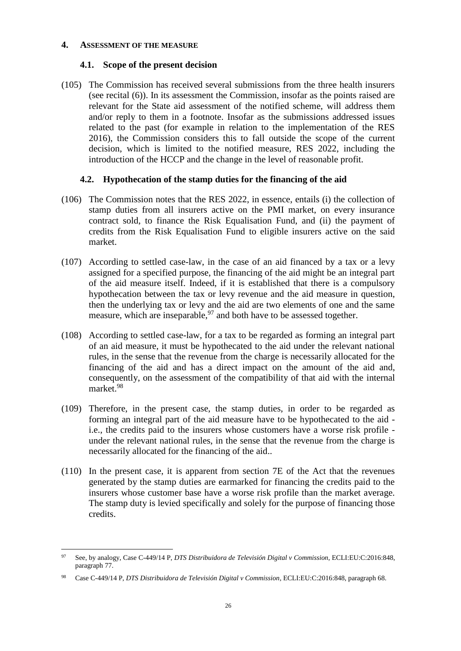#### **4. ASSESSMENT OF THE MEASURE**

### **4.1. Scope of the present decision**

(105) The Commission has received several submissions from the three health insurers (see recital [\(6\)\)](#page-1-0). In its assessment the Commission, insofar as the points raised are relevant for the State aid assessment of the notified scheme, will address them and/or reply to them in a footnote. Insofar as the submissions addressed issues related to the past (for example in relation to the implementation of the RES 2016), the Commission considers this to fall outside the scope of the current decision, which is limited to the notified measure, RES 2022, including the introduction of the HCCP and the change in the level of reasonable profit.

## <span id="page-25-0"></span>**4.2. Hypothecation of the stamp duties for the financing of the aid**

- (106) The Commission notes that the RES 2022, in essence, entails (i) the collection of stamp duties from all insurers active on the PMI market, on every insurance contract sold, to finance the Risk Equalisation Fund, and (ii) the payment of credits from the Risk Equalisation Fund to eligible insurers active on the said market.
- (107) According to settled case-law, in the case of an aid financed by a tax or a levy assigned for a specified purpose, the financing of the aid might be an integral part of the aid measure itself. Indeed, if it is established that there is a compulsory hypothecation between the tax or levy revenue and the aid measure in question, then the underlying tax or levy and the aid are two elements of one and the same measure, which are inseparable,  $97$  and both have to be assessed together.
- (108) According to settled case-law, for a tax to be regarded as forming an integral part of an aid measure, it must be hypothecated to the aid under the relevant national rules, in the sense that the revenue from the charge is necessarily allocated for the financing of the aid and has a direct impact on the amount of the aid and, consequently, on the assessment of the compatibility of that aid with the internal market.<sup>98</sup>
- (109) Therefore, in the present case, the stamp duties, in order to be regarded as forming an integral part of the aid measure have to be hypothecated to the aid i.e., the credits paid to the insurers whose customers have a worse risk profile under the relevant national rules, in the sense that the revenue from the charge is necessarily allocated for the financing of the aid..
- (110) In the present case, it is apparent from section 7E of the Act that the revenues generated by the stamp duties are earmarked for financing the credits paid to the insurers whose customer base have a worse risk profile than the market average. The stamp duty is levied specifically and solely for the purpose of financing those credits.

 $\overline{a}$ <sup>97</sup> See, by analogy, Case C-449/14 P, *DTS Distribuidora de Televisión Digital v Commission*, ECLI:EU:C:2016:848, paragraph 77.

<sup>98</sup> Case C-449/14 P, *DTS Distribuidora de Televisión Digital v Commission*, ECLI:EU:C:2016:848, paragraph 68.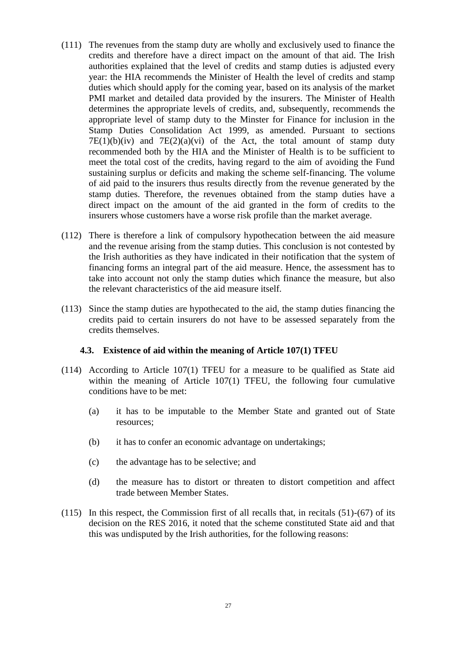- (111) The revenues from the stamp duty are wholly and exclusively used to finance the credits and therefore have a direct impact on the amount of that aid. The Irish authorities explained that the level of credits and stamp duties is adjusted every year: the HIA recommends the Minister of Health the level of credits and stamp duties which should apply for the coming year, based on its analysis of the market PMI market and detailed data provided by the insurers. The Minister of Health determines the appropriate levels of credits, and, subsequently, recommends the appropriate level of stamp duty to the Minster for Finance for inclusion in the Stamp Duties Consolidation Act 1999, as amended. Pursuant to sections  $7E(1)(b)(iv)$  and  $7E(2)(a)(vi)$  of the Act, the total amount of stamp duty recommended both by the HIA and the Minister of Health is to be sufficient to meet the total cost of the credits, having regard to the aim of avoiding the Fund sustaining surplus or deficits and making the scheme self-financing. The volume of aid paid to the insurers thus results directly from the revenue generated by the stamp duties. Therefore, the revenues obtained from the stamp duties have a direct impact on the amount of the aid granted in the form of credits to the insurers whose customers have a worse risk profile than the market average.
- (112) There is therefore a link of compulsory hypothecation between the aid measure and the revenue arising from the stamp duties. This conclusion is not contested by the Irish authorities as they have indicated in their notification that the system of financing forms an integral part of the aid measure. Hence, the assessment has to take into account not only the stamp duties which finance the measure, but also the relevant characteristics of the aid measure itself.
- (113) Since the stamp duties are hypothecated to the aid, the stamp duties financing the credits paid to certain insurers do not have to be assessed separately from the credits themselves.

#### **4.3. Existence of aid within the meaning of Article 107(1) TFEU**

- (114) According to Article 107(1) TFEU for a measure to be qualified as State aid within the meaning of Article 107(1) TFEU, the following four cumulative conditions have to be met:
	- (a) it has to be imputable to the Member State and granted out of State resources;
	- (b) it has to confer an economic advantage on undertakings;
	- (c) the advantage has to be selective; and
	- (d) the measure has to distort or threaten to distort competition and affect trade between Member States.
- (115) In this respect, the Commission first of all recalls that, in recitals (51)-(67) of its decision on the RES 2016, it noted that the scheme constituted State aid and that this was undisputed by the Irish authorities, for the following reasons: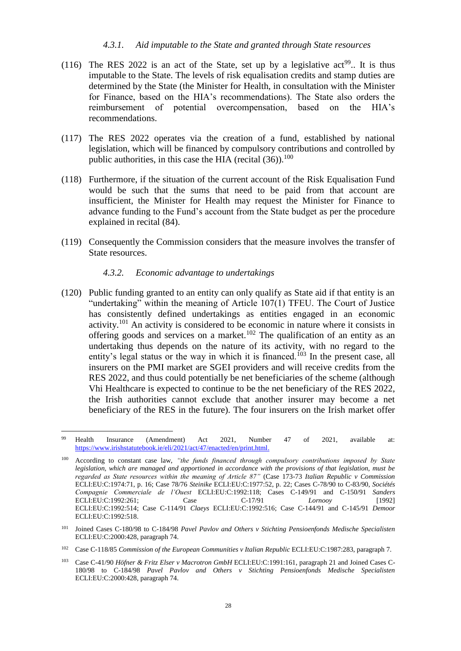#### *4.3.1. Aid imputable to the State and granted through State resources*

- (116) The RES 2022 is an act of the State, set up by a legislative act<sup>99</sup>. It is thus imputable to the State. The levels of risk equalisation credits and stamp duties are determined by the State (the Minister for Health, in consultation with the Minister for Finance, based on the HIA's recommendations). The State also orders the reimbursement of potential overcompensation, based on the HIA's recommendations.
- (117) The RES 2022 operates via the creation of a fund, established by national legislation, which will be financed by compulsory contributions and controlled by public authorities, in this case the HIA (recital  $(36)$ ).<sup>100</sup>
- (118) Furthermore, if the situation of the current account of the Risk Equalisation Fund would be such that the sums that need to be paid from that account are insufficient, the Minister for Health may request the Minister for Finance to advance funding to the Fund's account from the State budget as per the procedure explained in recital [\(84\).](#page-19-1)
- (119) Consequently the Commission considers that the measure involves the transfer of State resources.

#### *4.3.2. Economic advantage to undertakings*

 $\overline{a}$ 

(120) Public funding granted to an entity can only qualify as State aid if that entity is an "undertaking" within the meaning of Article 107(1) TFEU. The Court of Justice has consistently defined undertakings as entities engaged in an economic activity.<sup>101</sup> An activity is considered to be economic in nature where it consists in offering goods and services on a market.<sup>102</sup> The qualification of an entity as an undertaking thus depends on the nature of its activity, with no regard to the entity's legal status or the way in which it is financed.<sup>103</sup> In the present case, all insurers on the PMI market are SGEI providers and will receive credits from the RES 2022, and thus could potentially be net beneficiaries of the scheme (although Vhi Healthcare is expected to continue to be the net beneficiary of the RES 2022, the Irish authorities cannot exclude that another insurer may become a net beneficiary of the RES in the future). The four insurers on the Irish market offer

<sup>99</sup> Health Insurance (Amendment) Act 2021, Number 47 of 2021, available at: [https://www.irishstatutebook.ie/eli/2021/act/47/enacted/en/print.html.](https://www.irishstatutebook.ie/eli/2021/act/47/enacted/en/print.html)

According to constant case law, "the funds financed through compulsory contributions imposed by State *legislation, which are managed and apportioned in accordance with the provisions of that legislation, must be regarded as State resources within the meaning of Article 87"* (Case 173-73 *Italian Republic v Commission* ECLI:EU:C:1974:71, p. 16; Case 78/76 *Steinike* ECLI:EU:C:1977:52, p. 22; Cases C-78/90 to C-83/90, *Sociétés Compagnie Commerciale de l'Ouest* ECLI:EU:C:1992:118; Cases C-149/91 and C-150/91 *Sanders* ECLI:EU:C:1992:261; Case C-17/91 *Lornooy* [1992] ECLI:EU:C:1992:514; Case C-114/91 *Claeys* ECLI:EU:C:1992:516; Case C-144/91 and C-145/91 *Demoor* ECLI:EU:C:1992:518.

<sup>101</sup> Joined Cases C-180/98 to C-184/98 *Pavel Pavlov and Others v Stichting Pensioenfonds Medische Specialisten* ECLI:EU:C:2000:428, paragraph 74.

<sup>102</sup> Case C-118/85 *Commission of the European Communities v Italian Republic* ECLI:EU:C:1987:283, paragraph 7.

<sup>103</sup> Case C-41/90 *Höfner & Fritz Elser v Macrotron GmbH* ECLI:EU:C:1991:161, paragraph 21 and Joined Cases C-180/98 to C-184/98 *Pavel Pavlov and Others v Stichting Pensioenfonds Medische Specialisten*  ECLI:EU:C:2000:428, paragraph 74.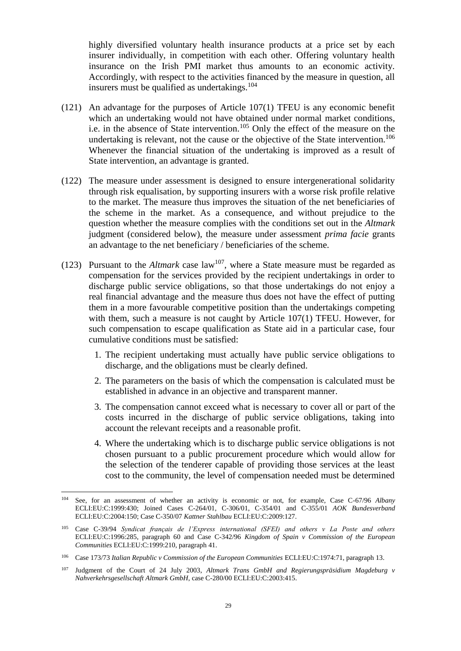highly diversified voluntary health insurance products at a price set by each insurer individually, in competition with each other. Offering voluntary health insurance on the Irish PMI market thus amounts to an economic activity. Accordingly, with respect to the activities financed by the measure in question, all insurers must be qualified as undertakings.  $104$ 

- (121) An advantage for the purposes of Article 107(1) TFEU is any economic benefit which an undertaking would not have obtained under normal market conditions, i.e. in the absence of State intervention.<sup>105</sup> Only the effect of the measure on the undertaking is relevant, not the cause or the objective of the State intervention.<sup>106</sup> Whenever the financial situation of the undertaking is improved as a result of State intervention, an advantage is granted.
- (122) The measure under assessment is designed to ensure intergenerational solidarity through risk equalisation, by supporting insurers with a worse risk profile relative to the market. The measure thus improves the situation of the net beneficiaries of the scheme in the market. As a consequence, and without prejudice to the question whether the measure complies with the conditions set out in the *Altmark* judgment (considered below), the measure under assessment *prima facie* grants an advantage to the net beneficiary / beneficiaries of the scheme.
- (123) Pursuant to the  $Altmark$  case  $law^{107}$ , where a State measure must be regarded as compensation for the services provided by the recipient undertakings in order to discharge public service obligations, so that those undertakings do not enjoy a real financial advantage and the measure thus does not have the effect of putting them in a more favourable competitive position than the undertakings competing with them, such a measure is not caught by Article 107(1) TFEU. However, for such compensation to escape qualification as State aid in a particular case, four cumulative conditions must be satisfied:
	- 1. The recipient undertaking must actually have public service obligations to discharge, and the obligations must be clearly defined.
	- 2. The parameters on the basis of which the compensation is calculated must be established in advance in an objective and transparent manner.
	- 3. The compensation cannot exceed what is necessary to cover all or part of the costs incurred in the discharge of public service obligations, taking into account the relevant receipts and a reasonable profit.
	- 4. Where the undertaking which is to discharge public service obligations is not chosen pursuant to a public procurement procedure which would allow for the selection of the tenderer capable of providing those services at the least cost to the community, the level of compensation needed must be determined

<sup>104</sup> See, for an assessment of whether an activity is economic or not, for example, Case C-67/96 *Albany* ECLI:EU:C:1999:430; Joined Cases C-264/01, C-306/01, C-354/01 and C-355/01 *AOK Bundesverband* ECLI:EU:C:2004:150; Case C-350/07 *Kattner Stahlbau* ECLI:EU:C:2009:127.

<sup>105</sup> Case C-39/94 *Syndicat français de l'Express international (SFEI) and others v La Poste and others*  ECLI:EU:C:1996:285, paragraph 60 and Case C-342/96 *Kingdom of Spain v Commission of the European Communities* ECLI:EU:C:1999:210, paragraph 41.

<sup>106</sup> Case 173/73 *Italian Republic v Commission of the European Communities* ECLI:EU:C:1974:71, paragraph 13.

<sup>107</sup> Judgment of the Court of 24 July 2003, *Altmark Trans GmbH and Regierungspräsidium Magdeburg v Nahverkehrsgesellschaft Altmark GmbH*, case C-280/00 ECLI:EU:C:2003:415.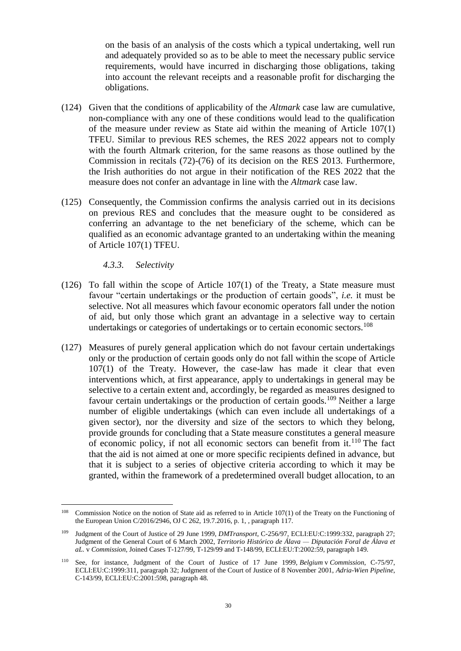on the basis of an analysis of the costs which a typical undertaking, well run and adequately provided so as to be able to meet the necessary public service requirements, would have incurred in discharging those obligations, taking into account the relevant receipts and a reasonable profit for discharging the obligations.

- (124) Given that the conditions of applicability of the *Altmark* case law are cumulative, non-compliance with any one of these conditions would lead to the qualification of the measure under review as State aid within the meaning of Article 107(1) TFEU. Similar to previous RES schemes, the RES 2022 appears not to comply with the fourth Altmark criterion, for the same reasons as those outlined by the Commission in recitals (72)-(76) of its decision on the RES 2013. Furthermore, the Irish authorities do not argue in their notification of the RES 2022 that the measure does not confer an advantage in line with the *Altmark* case law.
- (125) Consequently, the Commission confirms the analysis carried out in its decisions on previous RES and concludes that the measure ought to be considered as conferring an advantage to the net beneficiary of the scheme, which can be qualified as an economic advantage granted to an undertaking within the meaning of Article 107(1) TFEU.

*4.3.3. Selectivity*

- (126) To fall within the scope of Article 107(1) of the Treaty, a State measure must favour "certain undertakings or the production of certain goods", *i.e.* it must be selective. Not all measures which favour economic operators fall under the notion of aid, but only those which grant an advantage in a selective way to certain undertakings or categories of undertakings or to certain economic sectors.<sup>108</sup>
- (127) Measures of purely general application which do not favour certain undertakings only or the production of certain goods only do not fall within the scope of Article 107(1) of the Treaty. However, the case-law has made it clear that even interventions which, at first appearance, apply to undertakings in general may be selective to a certain extent and, accordingly, be regarded as measures designed to favour certain undertakings or the production of certain goods.<sup>109</sup> Neither a large number of eligible undertakings (which can even include all undertakings of a given sector), nor the diversity and size of the sectors to which they belong, provide grounds for concluding that a State measure constitutes a general measure of economic policy, if not all economic sectors can benefit from it.<sup>110</sup> The fact that the aid is not aimed at one or more specific recipients defined in advance, but that it is subject to a series of objective criteria according to which it may be granted, within the framework of a predetermined overall budget allocation, to an

<sup>&</sup>lt;sup>108</sup> Commission Notice on the notion of State aid as referred to in Article 107(1) of the Treaty on the Functioning of the European Union C/2016/2946, OJ C 262, 19.7.2016, p. 1, , paragraph 117.

<sup>109</sup> Judgment of the Court of Justice of 29 June 1999, *DMTransport*, C-256/97, ECLI:EU:C:1999:332, paragraph 27; Judgment of the General Court of 6 March 2002, *Territorio Histórico de Álava — Diputación Foral de Álava et aL.* v *Commission*, Joined Cases T-127/99, T-129/99 and T-148/99, ECLI:EU:T:2002:59, paragraph 149.

<sup>110</sup> See, for instance, Judgment of the Court of Justice of 17 June 1999, *Belgium* v *Commission*, C-75/97, ECLI:EU:C:1999:311, paragraph 32; Judgment of the Court of Justice of 8 November 2001, *Adria-Wien Pipeline*, C-143/99, ECLI:EU:C:2001:598, paragraph 48.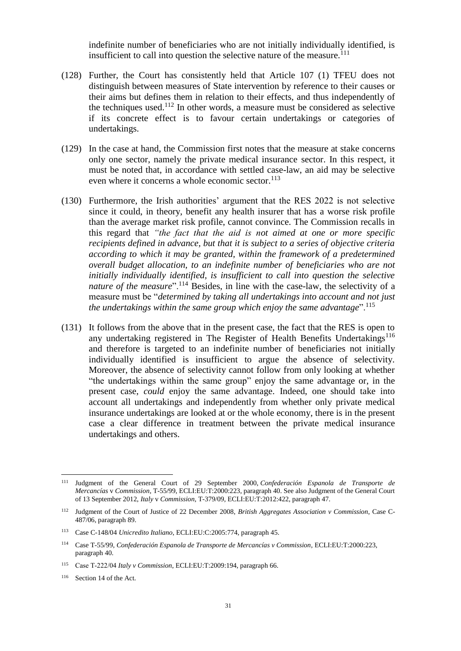indefinite number of beneficiaries who are not initially individually identified, is insufficient to call into question the selective nature of the measure.<sup>111</sup>

- (128) Further, the Court has consistently held that Article 107 (1) TFEU does not distinguish between measures of State intervention by reference to their causes or their aims but defines them in relation to their effects, and thus independently of the techniques used.<sup>112</sup> In other words, a measure must be considered as selective if its concrete effect is to favour certain undertakings or categories of undertakings.
- (129) In the case at hand, the Commission first notes that the measure at stake concerns only one sector, namely the private medical insurance sector. In this respect, it must be noted that, in accordance with settled case-law, an aid may be selective even where it concerns a whole economic sector.  $^{113}$
- (130) Furthermore, the Irish authorities' argument that the RES 2022 is not selective since it could, in theory, benefit any health insurer that has a worse risk profile than the average market risk profile, cannot convince. The Commission recalls in this regard that *"the fact that the aid is not aimed at one or more specific recipients defined in advance, but that it is subject to a series of objective criteria according to which it may be granted, within the framework of a predetermined overall budget allocation, to an indefinite number of beneficiaries who are not initially individually identified, is insufficient to call into question the selective nature of the measure*".<sup>114</sup> Besides, in line with the case-law, the selectivity of a measure must be "*determined by taking all undertakings into account and not just the undertakings within the same group which enjoy the same advantage*".<sup>115</sup>
- (131) It follows from the above that in the present case, the fact that the RES is open to any undertaking registered in The Register of Health Benefits Undertakings<sup>116</sup> and therefore is targeted to an indefinite number of beneficiaries not initially individually identified is insufficient to argue the absence of selectivity. Moreover, the absence of selectivity cannot follow from only looking at whether "the undertakings within the same group" enjoy the same advantage or, in the present case, *could* enjoy the same advantage. Indeed, one should take into account all undertakings and independently from whether only private medical insurance undertakings are looked at or the whole economy, there is in the present case a clear difference in treatment between the private medical insurance undertakings and others.

<sup>111</sup> Judgment of the General Court of 29 September 2000, *Confederación Espanola de Transporte de Mercancías* v *Commission*, T-55/99, ECLI:EU:T:2000:223, paragraph 40. See also Judgment of the General Court of 13 September 2012, *Italy* v *Commission*, T-379/09, ECLI:EU:T:2012:422, paragraph 47.

<sup>112</sup> Judgment of the Court of Justice of 22 December 2008, *British Aggregates Association v Commission*, Case C-487/06, paragraph 89.

<sup>113</sup> Case C-148/04 *Unicredito Italiano*, ECLI:EU:C:2005:774, paragraph 45.

<sup>114</sup> Case T-55/99, *Confederación Espanola de Transporte de Mercancías v Commission*, ECLI:EU:T:2000:223, paragraph 40.

<sup>115</sup> Case T‑222/04 *Italy v Commission*, ECLI:EU:T:2009:194, paragraph 66.

<sup>116</sup> Section 14 of the Act.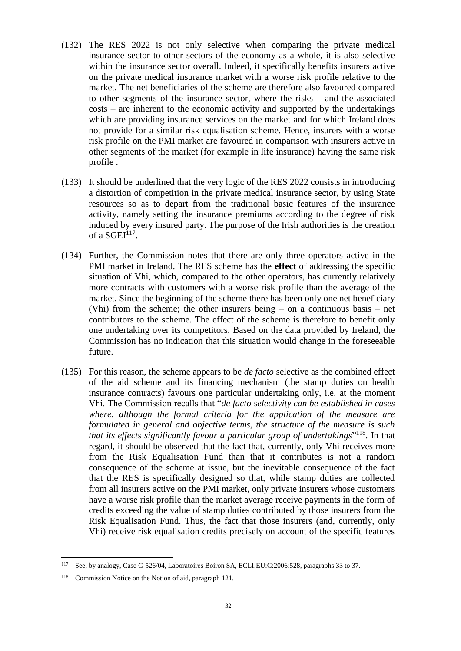- (132) The RES 2022 is not only selective when comparing the private medical insurance sector to other sectors of the economy as a whole, it is also selective within the insurance sector overall. Indeed, it specifically benefits insurers active on the private medical insurance market with a worse risk profile relative to the market. The net beneficiaries of the scheme are therefore also favoured compared to other segments of the insurance sector, where the risks – and the associated costs – are inherent to the economic activity and supported by the undertakings which are providing insurance services on the market and for which Ireland does not provide for a similar risk equalisation scheme. Hence, insurers with a worse risk profile on the PMI market are favoured in comparison with insurers active in other segments of the market (for example in life insurance) having the same risk profile .
- (133) It should be underlined that the very logic of the RES 2022 consists in introducing a distortion of competition in the private medical insurance sector, by using State resources so as to depart from the traditional basic features of the insurance activity, namely setting the insurance premiums according to the degree of risk induced by every insured party. The purpose of the Irish authorities is the creation of a  $SGEI<sup>117</sup>$ .
- (134) Further, the Commission notes that there are only three operators active in the PMI market in Ireland. The RES scheme has the **effect** of addressing the specific situation of Vhi, which, compared to the other operators, has currently relatively more contracts with customers with a worse risk profile than the average of the market. Since the beginning of the scheme there has been only one net beneficiary (Vhi) from the scheme; the other insurers being – on a continuous basis – net contributors to the scheme. The effect of the scheme is therefore to benefit only one undertaking over its competitors. Based on the data provided by Ireland, the Commission has no indication that this situation would change in the foreseeable future.
- (135) For this reason, the scheme appears to be *de facto* selective as the combined effect of the aid scheme and its financing mechanism (the stamp duties on health insurance contracts) favours one particular undertaking only, i.e. at the moment Vhi. The Commission recalls that "*de facto selectivity can be established in cases where, although the formal criteria for the application of the measure are formulated in general and objective terms, the structure of the measure is such that its effects significantly favour a particular group of undertakings*" <sup>118</sup>. In that regard, it should be observed that the fact that, currently, only Vhi receives more from the Risk Equalisation Fund than that it contributes is not a random consequence of the scheme at issue, but the inevitable consequence of the fact that the RES is specifically designed so that, while stamp duties are collected from all insurers active on the PMI market, only private insurers whose customers have a worse risk profile than the market average receive payments in the form of credits exceeding the value of stamp duties contributed by those insurers from the Risk Equalisation Fund. Thus, the fact that those insurers (and, currently, only Vhi) receive risk equalisation credits precisely on account of the specific features

<sup>117</sup> See, by analogy, Case C-526/04, Laboratoires Boiron SA, ECLI:EU:C:2006:528, paragraphs 33 to 37.

<sup>118</sup> Commission Notice on the Notion of aid, paragraph 121.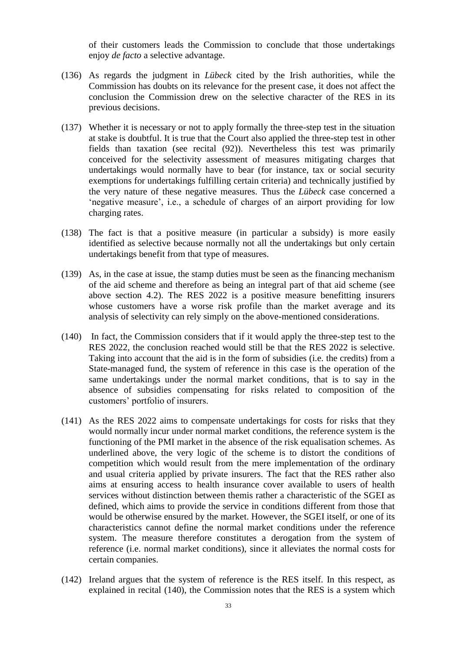of their customers leads the Commission to conclude that those undertakings enjoy *de facto* a selective advantage.

- (136) As regards the judgment in *Lübeck* cited by the Irish authorities, while the Commission has doubts on its relevance for the present case, it does not affect the conclusion the Commission drew on the selective character of the RES in its previous decisions.
- (137) Whether it is necessary or not to apply formally the three-step test in the situation at stake is doubtful. It is true that the Court also applied the three-step test in other fields than taxation (see recital [\(92\)\)](#page-22-1). Nevertheless this test was primarily conceived for the selectivity assessment of measures mitigating charges that undertakings would normally have to bear (for instance, tax or social security exemptions for undertakings fulfilling certain criteria) and technically justified by the very nature of these negative measures. Thus the *Lübeck* case concerned a 'negative measure', i.e., a schedule of charges of an airport providing for low charging rates.
- (138) The fact is that a positive measure (in particular a subsidy) is more easily identified as selective because normally not all the undertakings but only certain undertakings benefit from that type of measures.
- (139) As, in the case at issue, the stamp duties must be seen as the financing mechanism of the aid scheme and therefore as being an integral part of that aid scheme (see above section [4.2\)](#page-25-0). The RES 2022 is a positive measure benefitting insurers whose customers have a worse risk profile than the market average and its analysis of selectivity can rely simply on the above-mentioned considerations.
- <span id="page-32-0"></span>(140) In fact, the Commission considers that if it would apply the three-step test to the RES 2022, the conclusion reached would still be that the RES 2022 is selective. Taking into account that the aid is in the form of subsidies (i.e. the credits) from a State-managed fund, the system of reference in this case is the operation of the same undertakings under the normal market conditions, that is to say in the absence of subsidies compensating for risks related to composition of the customers' portfolio of insurers.
- (141) As the RES 2022 aims to compensate undertakings for costs for risks that they would normally incur under normal market conditions, the reference system is the functioning of the PMI market in the absence of the risk equalisation schemes. As underlined above, the very logic of the scheme is to distort the conditions of competition which would result from the mere implementation of the ordinary and usual criteria applied by private insurers. The fact that the RES rather also aims at ensuring access to health insurance cover available to users of health services without distinction between themis rather a characteristic of the SGEI as defined, which aims to provide the service in conditions different from those that would be otherwise ensured by the market. However, the SGEI itself, or one of its characteristics cannot define the normal market conditions under the reference system. The measure therefore constitutes a derogation from the system of reference (i.e. normal market conditions), since it alleviates the normal costs for certain companies.
- <span id="page-32-1"></span>(142) Ireland argues that the system of reference is the RES itself. In this respect, as explained in recital [\(140\),](#page-32-0) the Commission notes that the RES is a system which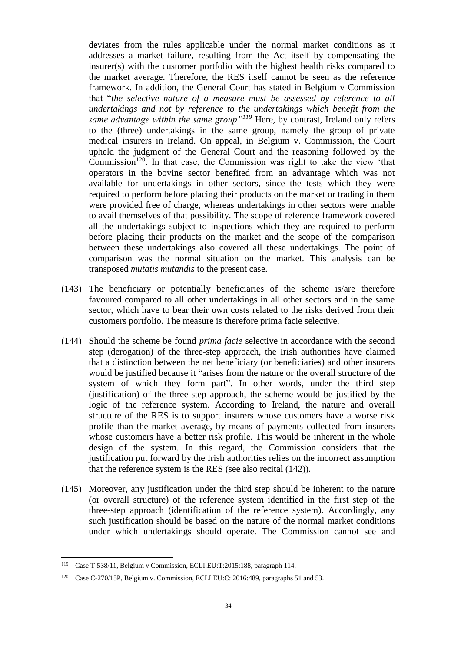deviates from the rules applicable under the normal market conditions as it addresses a market failure, resulting from the Act itself by compensating the insurer(s) with the customer portfolio with the highest health risks compared to the market average. Therefore, the RES itself cannot be seen as the reference framework. In addition, the General Court has stated in Belgium v Commission that "*the selective nature of a measure must be assessed by reference to all undertakings and not by reference to the undertakings which benefit from the same advantage within the same group"<sup>119</sup>* Here, by contrast, Ireland only refers to the (three) undertakings in the same group, namely the group of private medical insurers in Ireland. On appeal, in Belgium v. Commission, the Court upheld the judgment of the General Court and the reasoning followed by the Commission<sup>120</sup>. In that case, the Commission was right to take the view 'that operators in the bovine sector benefited from an advantage which was not available for undertakings in other sectors, since the tests which they were required to perform before placing their products on the market or trading in them were provided free of charge, whereas undertakings in other sectors were unable to avail themselves of that possibility. The scope of reference framework covered all the undertakings subject to inspections which they are required to perform before placing their products on the market and the scope of the comparison between these undertakings also covered all these undertakings. The point of comparison was the normal situation on the market. This analysis can be transposed *mutatis mutandis* to the present case.

- (143) The beneficiary or potentially beneficiaries of the scheme is/are therefore favoured compared to all other undertakings in all other sectors and in the same sector, which have to bear their own costs related to the risks derived from their customers portfolio. The measure is therefore prima facie selective.
- (144) Should the scheme be found *prima facie* selective in accordance with the second step (derogation) of the three-step approach, the Irish authorities have claimed that a distinction between the net beneficiary (or beneficiaries) and other insurers would be justified because it "arises from the nature or the overall structure of the system of which they form part". In other words, under the third step (justification) of the three-step approach, the scheme would be justified by the logic of the reference system. According to Ireland, the nature and overall structure of the RES is to support insurers whose customers have a worse risk profile than the market average, by means of payments collected from insurers whose customers have a better risk profile. This would be inherent in the whole design of the system. In this regard, the Commission considers that the justification put forward by the Irish authorities relies on the incorrect assumption that the reference system is the RES (see also recital [\(142\)\)](#page-32-1).
- (145) Moreover, any justification under the third step should be inherent to the nature (or overall structure) of the reference system identified in the first step of the three-step approach (identification of the reference system). Accordingly, any such justification should be based on the nature of the normal market conditions under which undertakings should operate. The Commission cannot see and

<sup>119</sup> Case T-538/11, Belgium v Commission, ECLI:EU:T:2015:188, paragraph 114.

<sup>120</sup> Case C-270/15P, Belgium v. Commission, ECLI:EU:C: 2016:489, paragraphs 51 and 53.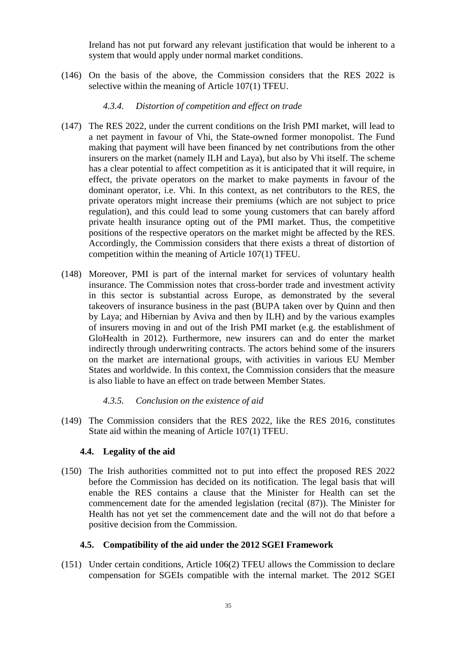Ireland has not put forward any relevant justification that would be inherent to a system that would apply under normal market conditions.

(146) On the basis of the above, the Commission considers that the RES 2022 is selective within the meaning of Article 107(1) TFEU.

### *4.3.4. Distortion of competition and effect on trade*

- (147) The RES 2022, under the current conditions on the Irish PMI market, will lead to a net payment in favour of Vhi, the State-owned former monopolist. The Fund making that payment will have been financed by net contributions from the other insurers on the market (namely ILH and Laya), but also by Vhi itself. The scheme has a clear potential to affect competition as it is anticipated that it will require, in effect, the private operators on the market to make payments in favour of the dominant operator, i.e. Vhi. In this context, as net contributors to the RES, the private operators might increase their premiums (which are not subject to price regulation), and this could lead to some young customers that can barely afford private health insurance opting out of the PMI market. Thus, the competitive positions of the respective operators on the market might be affected by the RES. Accordingly, the Commission considers that there exists a threat of distortion of competition within the meaning of Article 107(1) TFEU.
- (148) Moreover, PMI is part of the internal market for services of voluntary health insurance. The Commission notes that cross-border trade and investment activity in this sector is substantial across Europe, as demonstrated by the several takeovers of insurance business in the past (BUPA taken over by Quinn and then by Laya; and Hibernian by Aviva and then by ILH) and by the various examples of insurers moving in and out of the Irish PMI market (e.g. the establishment of GloHealth in 2012). Furthermore, new insurers can and do enter the market indirectly through underwriting contracts. The actors behind some of the insurers on the market are international groups, with activities in various EU Member States and worldwide. In this context, the Commission considers that the measure is also liable to have an effect on trade between Member States.

### *4.3.5. Conclusion on the existence of aid*

(149) The Commission considers that the RES 2022, like the RES 2016, constitutes State aid within the meaning of Article 107(1) TFEU.

### **4.4. Legality of the aid**

(150) The Irish authorities committed not to put into effect the proposed RES 2022 before the Commission has decided on its notification. The legal basis that will enable the RES contains a clause that the Minister for Health can set the commencement date for the amended legislation (recital [\(87\)\)](#page-20-0). The Minister for Health has not yet set the commencement date and the will not do that before a positive decision from the Commission.

### <span id="page-34-0"></span>**4.5. Compatibility of the aid under the 2012 SGEI Framework**

(151) Under certain conditions, Article 106(2) TFEU allows the Commission to declare compensation for SGEIs compatible with the internal market. The 2012 SGEI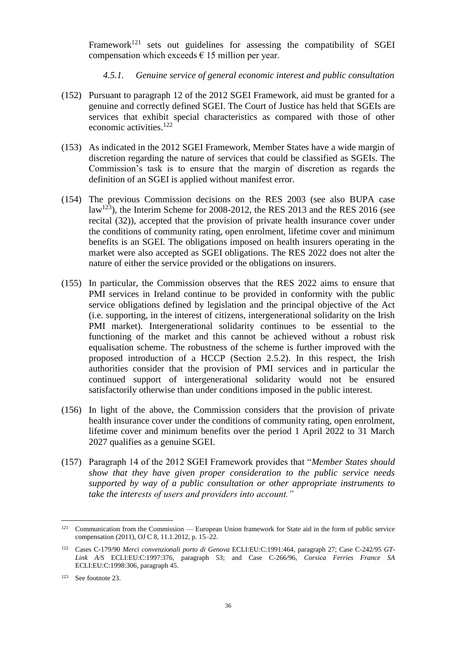Framework<sup>121</sup> sets out guidelines for assessing the compatibility of SGEI compensation which exceeds  $\epsilon$  15 million per year.

### *4.5.1. Genuine service of general economic interest and public consultation*

- (152) Pursuant to paragraph 12 of the 2012 SGEI Framework, aid must be granted for a genuine and correctly defined SGEI. The Court of Justice has held that SGEIs are services that exhibit special characteristics as compared with those of other economic activities.<sup>122</sup>
- (153) As indicated in the 2012 SGEI Framework, Member States have a wide margin of discretion regarding the nature of services that could be classified as SGEIs. The Commission's task is to ensure that the margin of discretion as regards the definition of an SGEI is applied without manifest error.
- (154) The previous Commission decisions on the RES 2003 (see also BUPA case law<sup>123</sup>), the Interim Scheme for 2008-2012, the RES 2013 and the RES 2016 (see recital [\(32\)\)](#page-6-1), accepted that the provision of private health insurance cover under the conditions of community rating, open enrolment, lifetime cover and minimum benefits is an SGEI. The obligations imposed on health insurers operating in the market were also accepted as SGEI obligations. The RES 2022 does not alter the nature of either the service provided or the obligations on insurers.
- (155) In particular, the Commission observes that the RES 2022 aims to ensure that PMI services in Ireland continue to be provided in conformity with the public service obligations defined by legislation and the principal objective of the Act (i.e. supporting, in the interest of citizens, intergenerational solidarity on the Irish PMI market). Intergenerational solidarity continues to be essential to the functioning of the market and this cannot be achieved without a robust risk equalisation scheme. The robustness of the scheme is further improved with the proposed introduction of a HCCP (Section [2.5.2\)](#page-12-0). In this respect, the Irish authorities consider that the provision of PMI services and in particular the continued support of intergenerational solidarity would not be ensured satisfactorily otherwise than under conditions imposed in the public interest.
- (156) In light of the above, the Commission considers that the provision of private health insurance cover under the conditions of community rating, open enrolment, lifetime cover and minimum benefits over the period 1 April 2022 to 31 March 2027 qualifies as a genuine SGEI.
- (157) Paragraph 14 of the 2012 SGEI Framework provides that "*Member States should show that they have given proper consideration to the public service needs supported by way of a public consultation or other appropriate instruments to take the interests of users and providers into account."*

<sup>&</sup>lt;sup>121</sup> Communication from the Commission — European Union framework for State aid in the form of public service compensation (2011), OJ C 8, 11.1.2012, p. 15–22.

<sup>122</sup> Cases C-179/90 *Merci convenzionali porto di Genova* ECLI:EU:C:1991:464, paragraph 27; Case C-242/95 *GT-Link A/S* ECLI:EU:C:1997:376, paragraph 53; and Case C-266/96, *Corsica Ferries France SA* ECLI:EU:C:1998:306, paragraph 45.

<sup>123</sup> See footnot[e 23.](#page-6-2)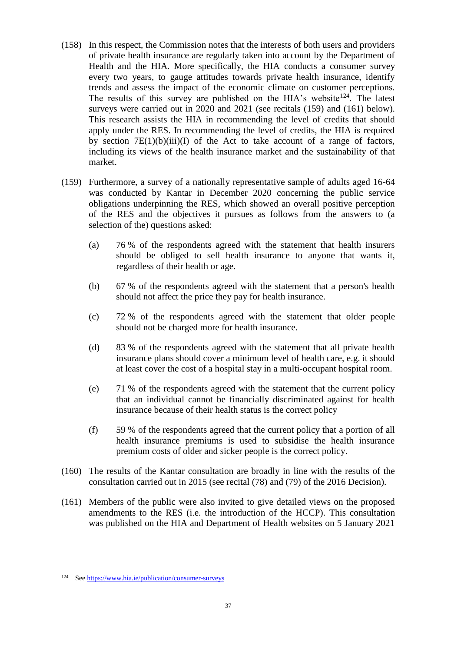- <span id="page-36-2"></span>(158) In this respect, the Commission notes that the interests of both users and providers of private health insurance are regularly taken into account by the Department of Health and the HIA. More specifically, the HIA conducts a consumer survey every two years, to gauge attitudes towards private health insurance, identify trends and assess the impact of the economic climate on customer perceptions. The results of this survey are published on the HIA's website<sup>124</sup>. The latest surveys were carried out in 2020 and 2021 (see recitals [\(159\)](#page-36-0) and [\(161\)](#page-36-1) below). This research assists the HIA in recommending the level of credits that should apply under the RES. In recommending the level of credits, the HIA is required by section  $7E(1)(b)(iii)(I)$  of the Act to take account of a range of factors, including its views of the health insurance market and the sustainability of that market.
- <span id="page-36-0"></span>(159) Furthermore, a survey of a nationally representative sample of adults aged 16-64 was conducted by Kantar in December 2020 concerning the public service obligations underpinning the RES, which showed an overall positive perception of the RES and the objectives it pursues as follows from the answers to (a selection of the) questions asked:
	- (a) 76 % of the respondents agreed with the statement that health insurers should be obliged to sell health insurance to anyone that wants it, regardless of their health or age.
	- (b) 67 % of the respondents agreed with the statement that a person's health should not affect the price they pay for health insurance.
	- (c) 72 % of the respondents agreed with the statement that older people should not be charged more for health insurance.
	- (d) 83 % of the respondents agreed with the statement that all private health insurance plans should cover a minimum level of health care, e.g. it should at least cover the cost of a hospital stay in a multi-occupant hospital room.
	- (e) 71 % of the respondents agreed with the statement that the current policy that an individual cannot be financially discriminated against for health insurance because of their health status is the correct policy
	- (f) 59 % of the respondents agreed that the current policy that a portion of all health insurance premiums is used to subsidise the health insurance premium costs of older and sicker people is the correct policy.
- (160) The results of the Kantar consultation are broadly in line with the results of the consultation carried out in 2015 (see recital (78) and (79) of the 2016 Decision).
- <span id="page-36-1"></span>(161) Members of the public were also invited to give detailed views on the proposed amendments to the RES (i.e. the introduction of the HCCP). This consultation was published on the HIA and Department of Health websites on 5 January 2021

<sup>124</sup> Se[e https://www.hia.ie/publication/consumer-surveys](https://www.hia.ie/publication/consumer-surveys)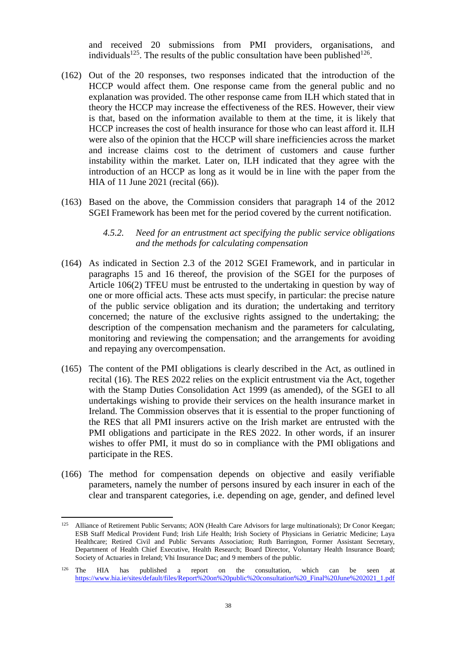<span id="page-37-1"></span>and received 20 submissions from PMI providers, organisations, and individuals<sup>125</sup>. The results of the public consultation have been published<sup>126</sup>.

- <span id="page-37-0"></span>(162) Out of the 20 responses, two responses indicated that the introduction of the HCCP would affect them. One response came from the general public and no explanation was provided. The other response came from ILH which stated that in theory the HCCP may increase the effectiveness of the RES. However, their view is that, based on the information available to them at the time, it is likely that HCCP increases the cost of health insurance for those who can least afford it. ILH were also of the opinion that the HCCP will share inefficiencies across the market and increase claims cost to the detriment of customers and cause further instability within the market. Later on, ILH indicated that they agree with the introduction of an HCCP as long as it would be in line with the paper from the HIA of 11 June 2021 (recital [\(66\)\)](#page-13-0).
- (163) Based on the above, the Commission considers that paragraph 14 of the 2012 SGEI Framework has been met for the period covered by the current notification.

#### *4.5.2. Need for an entrustment act specifying the public service obligations and the methods for calculating compensation*

- (164) As indicated in Section 2.3 of the 2012 SGEI Framework, and in particular in paragraphs 15 and 16 thereof, the provision of the SGEI for the purposes of Article 106(2) TFEU must be entrusted to the undertaking in question by way of one or more official acts. These acts must specify, in particular: the precise nature of the public service obligation and its duration; the undertaking and territory concerned; the nature of the exclusive rights assigned to the undertaking; the description of the compensation mechanism and the parameters for calculating, monitoring and reviewing the compensation; and the arrangements for avoiding and repaying any overcompensation.
- (165) The content of the PMI obligations is clearly described in the Act, as outlined in recital [\(16\).](#page-3-2) The RES 2022 relies on the explicit entrustment via the Act, together with the Stamp Duties Consolidation Act 1999 (as amended), of the SGEI to all undertakings wishing to provide their services on the health insurance market in Ireland. The Commission observes that it is essential to the proper functioning of the RES that all PMI insurers active on the Irish market are entrusted with the PMI obligations and participate in the RES 2022. In other words, if an insurer wishes to offer PMI, it must do so in compliance with the PMI obligations and participate in the RES.
- (166) The method for compensation depends on objective and easily verifiable parameters, namely the number of persons insured by each insurer in each of the clear and transparent categories, i.e. depending on age, gender, and defined level

<sup>&</sup>lt;sup>125</sup> Alliance of Retirement Public Servants; AON (Health Care Advisors for large multinationals); Dr Conor Keegan; ESB Staff Medical Provident Fund; Irish Life Health; Irish Society of Physicians in Geriatric Medicine; Laya Healthcare; Retired Civil and Public Servants Association; Ruth Barrington, Former Assistant Secretary, Department of Health Chief Executive, Health Research; Board Director, Voluntary Health Insurance Board; Society of Actuaries in Ireland; Vhi Insurance Dac; and 9 members of the public.

<sup>126</sup> The HIA has published a report on the consultation, which can be seen at [https://www.hia.ie/sites/default/files/Report%20on%20public%20consultation%20\\_Final%20June%202021\\_1.pdf](https://www.hia.ie/sites/default/files/Report%20on%20public%20consultation%20_Final%20June%202021_1.pdf)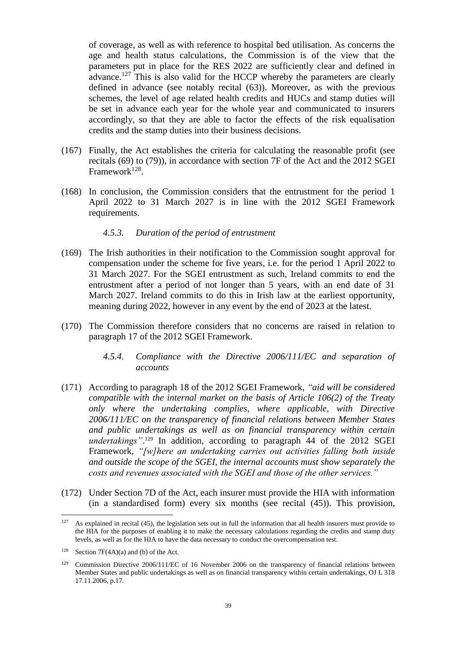of coverage, as well as with reference to hospital bed utilisation. As concerns the age and health status calculations, the Commission is of the view that the parameters put in place for the RES 2022 are sufficiently clear and defined in advance.<sup>127</sup> This is also valid for the HCCP whereby the parameters are clearly defined in advance (see notably recital [\(63\)\)](#page-12-1). Moreover, as with the previous schemes, the level of age related health credits and HUCs and stamp duties will be set in advance each year for the whole year and communicated to insurers accordingly, so that they are able to factor the effects of the risk equalisation credits and the stamp duties into their business decisions.

- (167) Finally, the Act establishes the criteria for calculating the reasonable profit (see recitals [\(69\)](#page-14-1) to [\(79\)\)](#page-17-0), in accordance with section 7F of the Act and the 2012 SGEI Framework<sup>128</sup>.
- (168) In conclusion, the Commission considers that the entrustment for the period 1 April 2022 to 31 March 2027 is in line with the 2012 SGEI Framework requirements.

#### *4.5.3. Duration of the period of entrustment*

- (169) The Irish authorities in their notification to the Commission sought approval for compensation under the scheme for five years, i.e. for the period 1 April 2022 to 31 March 2027. For the SGEI entrustment as such, Ireland commits to end the entrustment after a period of not longer than 5 years, with an end date of 31 March 2027. Ireland commits to do this in Irish law at the earliest opportunity, meaning during 2022, however in any event by the end of 2023 at the latest.
- (170) The Commission therefore considers that no concerns are raised in relation to paragraph 17 of the 2012 SGEI Framework.
	- *4.5.4. Compliance with the Directive 2006/111/EC and separation of accounts*
- (171) According to paragraph 18 of the 2012 SGEI Framework, *"aid will be considered compatible with the internal market on the basis of Article 106(2) of the Treaty only where the undertaking complies, where applicable, with Directive 2006/111/EC on the transparency of financial relations between Member States and public undertakings as well as on financial transparency within certain undertakings"*. <sup>129</sup> In addition, according to paragraph 44 of the 2012 SGEI Framework, *"[w]here an undertaking carries out activities falling both inside and outside the scope of the SGEI, the internal accounts must show separately the costs and revenues associated with the SGEI and those of the other services."*
- (172) Under Section 7D of the Act, each insurer must provide the HIA with information (in a standardised form) every six months (see recital [\(45\)\)](#page-9-1). This provision,

 $127$  As explained in recital [\(45\),](#page-9-1) the legislation sets out in full the information that all health insurers must provide to the HIA for the purposes of enabling it to make the necessary calculations regarding the credits and stamp duty levels, as well as for the HIA to have the data necessary to conduct the overcompensation test.

<sup>128</sup> Section 7F(4A)(a) and (b) of the Act.

<sup>&</sup>lt;sup>129</sup> Commission Directive 2006/111/EC of 16 November 2006 on the transparency of financial relations between Member States and public undertakings as well as on financial transparency within certain undertakings, OJ L 318 17.11.2006, p.17.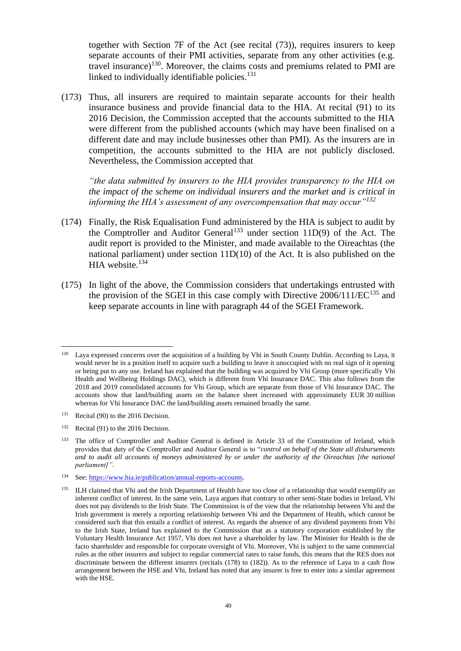together with Section 7F of the Act (see recital [\(73\)\)](#page-16-1), requires insurers to keep separate accounts of their PMI activities, separate from any other activities (e.g. travel insurance)<sup>130</sup>. Moreover, the claims costs and premiums related to PMI are linked to individually identifiable policies.<sup>131</sup>

(173) Thus, all insurers are required to maintain separate accounts for their health insurance business and provide financial data to the HIA. At recital (91) to its 2016 Decision, the Commission accepted that the accounts submitted to the HIA were different from the published accounts (which may have been finalised on a different date and may include businesses other than PMI). As the insurers are in competition, the accounts submitted to the HIA are not publicly disclosed. Nevertheless, the Commission accepted that

*"the data submitted by insurers to the HIA provides transparency to the HIA on the impact of the scheme on individual insurers and the market and is critical in informing the HIA's assessment of any overcompensation that may occur"<sup>132</sup>*

- (174) Finally, the Risk Equalisation Fund administered by the HIA is subject to audit by the Comptroller and Auditor General<sup>133</sup> under section 11D(9) of the Act. The audit report is provided to the Minister, and made available to the Oireachtas (the national parliament) under section 11D(10) of the Act. It is also published on the HIA website. $134$
- (175) In light of the above, the Commission considers that undertakings entrusted with the provision of the SGEI in this case comply with Directive  $2006/111/EC^{135}$  and keep separate accounts in line with paragraph 44 of the SGEI Framework.

<sup>130</sup> Laya expressed concerns over the acquisition of a building by Vhi in South County Dublin. According to Laya, it would never be in a position itself to acquire such a building to leave it unoccupied with no real sign of it opening or being put to any use. Ireland has explained that the building was acquired by Vhi Group (more specifically Vhi Health and Wellbeing Holdings DAC), which is different from Vhi Insurance DAC. This also follows from the 2018 and 2019 consolidated accounts for Vhi Group, which are separate from those of Vhi Insurance DAC. The accounts show that land/building assets on the balance sheet increased with approximately EUR 30 million whereas for Vhi Insurance DAC the land/building assets remained broadly the same.

<sup>&</sup>lt;sup>131</sup> Recital (90) to the 2016 Decision.

<sup>&</sup>lt;sup>132</sup> Recital (91) to the 2016 Decision.

<sup>&</sup>lt;sup>133</sup> The office of Comptroller and Auditor General is defined in Article 33 of the Constitution of Ireland, which provides that duty of the Comptroller and Auditor General is to "*control on behalf of the State all disbursements and to audit all accounts of moneys administered by or under the authority of the Oireachtas [the national parliament]"*.

<sup>134</sup> See: [https://www.hia.ie/publication/annual-reports-accounts.](https://www.hia.ie/publication/annual-reports-accounts) 

<sup>&</sup>lt;sup>135</sup> ILH claimed that Vhi and the Irish Department of Health have too close of a relationship that would exemplify an inherent conflict of interest. In the same vein, Laya argues that contrary to other semi-State bodies in Ireland, Vhi does not pay dividends to the Irish State. The Commission is of the view that the relationship between Vhi and the Irish government is merely a reporting relationship between Vhi and the Department of Health, which cannot be considered such that this entails a conflict of interest. As regards the absence of any dividend payments from Vhi to the Irish State, Ireland has explained to the Commission that as a statutory corporation established by the Voluntary Health Insurance Act 1957, Vhi does not have a shareholder by law. The Minister for Health is the de facto shareholder and responsible for corporate oversight of Vhi. Moreover, Vhi is subject to the same commercial rules as the other insurers and subject to regular commercial rates to raise funds, this means that the RES does not discriminate between the different insurers (recitals [\(178\)](#page-40-0) to [\(182\)\)](#page-41-0). As to the reference of Laya to a cash flow arrangement between the HSE and Vhi, Ireland has noted that any insurer is free to enter into a similar agreement with the HSE.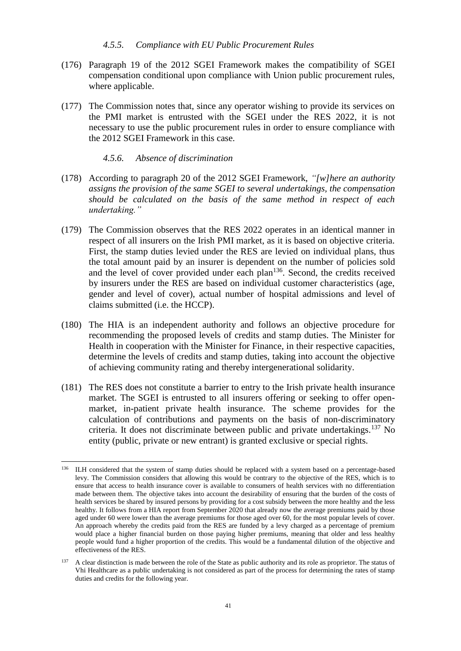#### *4.5.5. Compliance with EU Public Procurement Rules*

- (176) Paragraph 19 of the 2012 SGEI Framework makes the compatibility of SGEI compensation conditional upon compliance with Union public procurement rules, where applicable.
- (177) The Commission notes that, since any operator wishing to provide its services on the PMI market is entrusted with the SGEI under the RES 2022, it is not necessary to use the public procurement rules in order to ensure compliance with the 2012 SGEI Framework in this case.

#### *4.5.6. Absence of discrimination*

- <span id="page-40-0"></span>(178) According to paragraph 20 of the 2012 SGEI Framework, *"[w]here an authority assigns the provision of the same SGEI to several undertakings, the compensation should be calculated on the basis of the same method in respect of each undertaking."*
- (179) The Commission observes that the RES 2022 operates in an identical manner in respect of all insurers on the Irish PMI market, as it is based on objective criteria. First, the stamp duties levied under the RES are levied on individual plans, thus the total amount paid by an insurer is dependent on the number of policies sold and the level of cover provided under each  $plan<sup>136</sup>$ . Second, the credits received by insurers under the RES are based on individual customer characteristics (age, gender and level of cover), actual number of hospital admissions and level of claims submitted (i.e. the HCCP).
- (180) The HIA is an independent authority and follows an objective procedure for recommending the proposed levels of credits and stamp duties. The Minister for Health in cooperation with the Minister for Finance, in their respective capacities, determine the levels of credits and stamp duties, taking into account the objective of achieving community rating and thereby intergenerational solidarity.
- (181) The RES does not constitute a barrier to entry to the Irish private health insurance market. The SGEI is entrusted to all insurers offering or seeking to offer openmarket, in-patient private health insurance. The scheme provides for the calculation of contributions and payments on the basis of non-discriminatory criteria. It does not discriminate between public and private undertakings.<sup>137</sup> No entity (public, private or new entrant) is granted exclusive or special rights.

<sup>&</sup>lt;sup>136</sup> ILH considered that the system of stamp duties should be replaced with a system based on a percentage-based levy. The Commission considers that allowing this would be contrary to the objective of the RES, which is to ensure that access to health insurance cover is available to consumers of health services with no differentiation made between them. The objective takes into account the desirability of ensuring that the burden of the costs of health services be shared by insured persons by providing for a cost subsidy between the more healthy and the less healthy. It follows from a HIA report from September 2020 that already now the average premiums paid by those aged under 60 were lower than the average premiums for those aged over 60, for the most popular levels of cover. An approach whereby the credits paid from the RES are funded by a levy charged as a percentage of premium would place a higher financial burden on those paying higher premiums, meaning that older and less healthy people would fund a higher proportion of the credits. This would be a fundamental dilution of the objective and effectiveness of the RES.

 $137$  A clear distinction is made between the role of the State as public authority and its role as proprietor. The status of Vhi Healthcare as a public undertaking is not considered as part of the process for determining the rates of stamp duties and credits for the following year.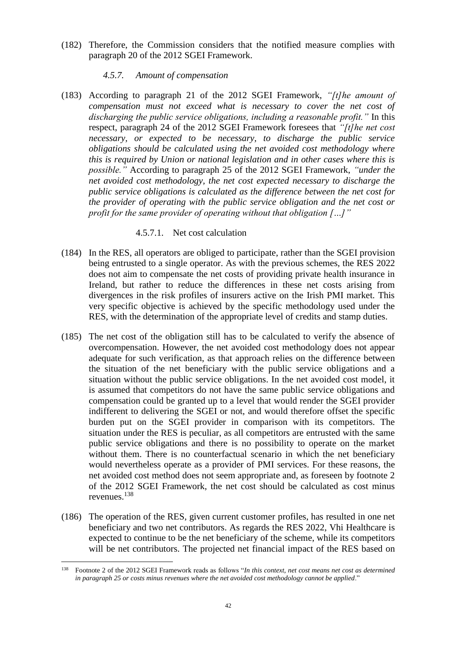<span id="page-41-0"></span>(182) Therefore, the Commission considers that the notified measure complies with paragraph 20 of the 2012 SGEI Framework.

## *4.5.7. Amount of compensation*

(183) According to paragraph 21 of the 2012 SGEI Framework, *"[t]he amount of compensation must not exceed what is necessary to cover the net cost of discharging the public service obligations, including a reasonable profit."* In this respect, paragraph 24 of the 2012 SGEI Framework foresees that *"[t]he net cost necessary, or expected to be necessary, to discharge the public service obligations should be calculated using the net avoided cost methodology where this is required by Union or national legislation and in other cases where this is possible."* According to paragraph 25 of the 2012 SGEI Framework, *"under the net avoided cost methodology, the net cost expected necessary to discharge the public service obligations is calculated as the difference between the net cost for the provider of operating with the public service obligation and the net cost or profit for the same provider of operating without that obligation […]"*

## 4.5.7.1. Net cost calculation

- (184) In the RES, all operators are obliged to participate, rather than the SGEI provision being entrusted to a single operator. As with the previous schemes, the RES 2022 does not aim to compensate the net costs of providing private health insurance in Ireland, but rather to reduce the differences in these net costs arising from divergences in the risk profiles of insurers active on the Irish PMI market. This very specific objective is achieved by the specific methodology used under the RES, with the determination of the appropriate level of credits and stamp duties.
- (185) The net cost of the obligation still has to be calculated to verify the absence of overcompensation. However, the net avoided cost methodology does not appear adequate for such verification, as that approach relies on the difference between the situation of the net beneficiary with the public service obligations and a situation without the public service obligations. In the net avoided cost model, it is assumed that competitors do not have the same public service obligations and compensation could be granted up to a level that would render the SGEI provider indifferent to delivering the SGEI or not, and would therefore offset the specific burden put on the SGEI provider in comparison with its competitors. The situation under the RES is peculiar, as all competitors are entrusted with the same public service obligations and there is no possibility to operate on the market without them. There is no counterfactual scenario in which the net beneficiary would nevertheless operate as a provider of PMI services. For these reasons, the net avoided cost method does not seem appropriate and, as foreseen by footnote 2 of the 2012 SGEI Framework, the net cost should be calculated as cost minus revenues.<sup>138</sup>
- (186) The operation of the RES, given current customer profiles, has resulted in one net beneficiary and two net contributors. As regards the RES 2022, Vhi Healthcare is expected to continue to be the net beneficiary of the scheme, while its competitors will be net contributors. The projected net financial impact of the RES based on

<sup>138</sup> Footnote 2 of the 2012 SGEI Framework reads as follows "*In this context, net cost means net cost as determined in paragraph 25 or costs minus revenues where the net avoided cost methodology cannot be applied*."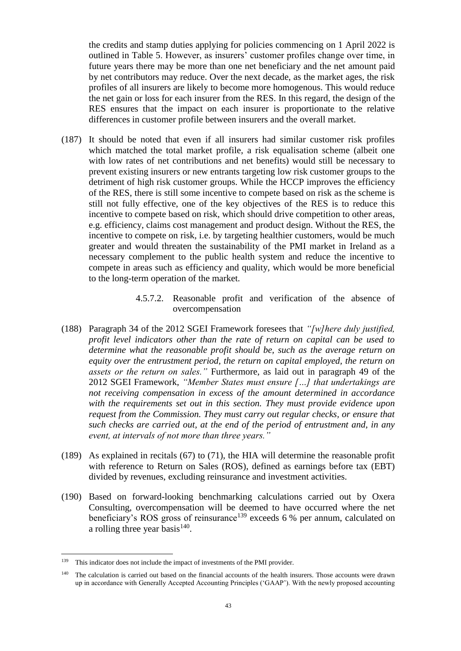the credits and stamp duties applying for policies commencing on 1 April 2022 is outlined in Table 5. However, as insurers' customer profiles change over time, in future years there may be more than one net beneficiary and the net amount paid by net contributors may reduce. Over the next decade, as the market ages, the risk profiles of all insurers are likely to become more homogenous. This would reduce the net gain or loss for each insurer from the RES. In this regard, the design of the RES ensures that the impact on each insurer is proportionate to the relative differences in customer profile between insurers and the overall market.

- (187) It should be noted that even if all insurers had similar customer risk profiles which matched the total market profile, a risk equalisation scheme (albeit one with low rates of net contributions and net benefits) would still be necessary to prevent existing insurers or new entrants targeting low risk customer groups to the detriment of high risk customer groups. While the HCCP improves the efficiency of the RES, there is still some incentive to compete based on risk as the scheme is still not fully effective, one of the key objectives of the RES is to reduce this incentive to compete based on risk, which should drive competition to other areas, e.g. efficiency, claims cost management and product design. Without the RES, the incentive to compete on risk, i.e. by targeting healthier customers, would be much greater and would threaten the sustainability of the PMI market in Ireland as a necessary complement to the public health system and reduce the incentive to compete in areas such as efficiency and quality, which would be more beneficial to the long-term operation of the market.
	- 4.5.7.2. Reasonable profit and verification of the absence of overcompensation
- (188) Paragraph 34 of the 2012 SGEI Framework foresees that *"[w]here duly justified, profit level indicators other than the rate of return on capital can be used to determine what the reasonable profit should be, such as the average return on equity over the entrustment period, the return on capital employed, the return on assets or the return on sales."* Furthermore, as laid out in paragraph 49 of the 2012 SGEI Framework, *"Member States must ensure […] that undertakings are not receiving compensation in excess of the amount determined in accordance with the requirements set out in this section. They must provide evidence upon request from the Commission. They must carry out regular checks, or ensure that such checks are carried out, at the end of the period of entrustment and, in any event, at intervals of not more than three years."*
- (189) As explained in recitals [\(67\)](#page-14-2) to [\(71\),](#page-15-0) the HIA will determine the reasonable profit with reference to Return on Sales (ROS), defined as earnings before tax (EBT) divided by revenues, excluding reinsurance and investment activities.
- (190) Based on forward-looking benchmarking calculations carried out by Oxera Consulting, overcompensation will be deemed to have occurred where the net beneficiary's ROS gross of reinsurance<sup>139</sup> exceeds 6 % per annum, calculated on a rolling three year basis<sup>140</sup>.

<sup>&</sup>lt;sup>139</sup> This indicator does not include the impact of investments of the PMI provider.

<sup>&</sup>lt;sup>140</sup> The calculation is carried out based on the financial accounts of the health insurers. Those accounts were drawn up in accordance with Generally Accepted Accounting Principles ('GAAP'). With the newly proposed accounting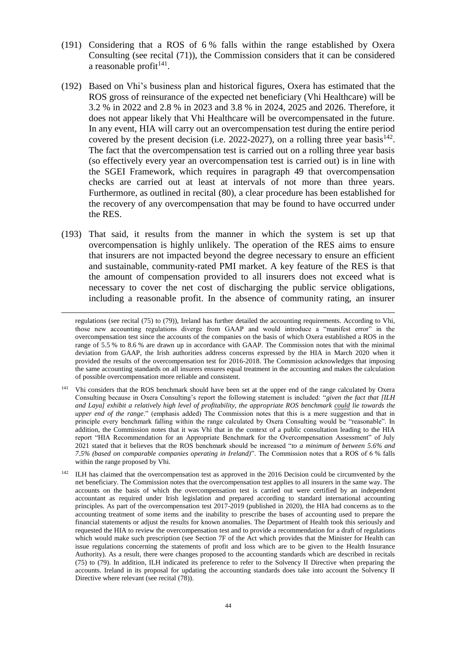- (191) Considering that a ROS of 6 % falls within the range established by Oxera Consulting (see recital [\(71\)\)](#page-15-0), the Commission considers that it can be considered a reasonable profit $141$ .
- (192) Based on Vhi's business plan and historical figures, Oxera has estimated that the ROS gross of reinsurance of the expected net beneficiary (Vhi Healthcare) will be 3.2 % in 2022 and 2.8 % in 2023 and 3.8 % in 2024, 2025 and 2026. Therefore, it does not appear likely that Vhi Healthcare will be overcompensated in the future. In any event, HIA will carry out an overcompensation test during the entire period covered by the present decision (i.e.  $2022-2027$ ), on a rolling three year basis<sup>142</sup>. The fact that the overcompensation test is carried out on a rolling three year basis (so effectively every year an overcompensation test is carried out) is in line with the SGEI Framework, which requires in paragraph 49 that overcompensation checks are carried out at least at intervals of not more than three years. Furthermore, as outlined in recital [\(80\),](#page-17-1) a clear procedure has been established for the recovery of any overcompensation that may be found to have occurred under the RES.
- <span id="page-43-0"></span>(193) That said, it results from the manner in which the system is set up that overcompensation is highly unlikely. The operation of the RES aims to ensure that insurers are not impacted beyond the degree necessary to ensure an efficient and sustainable, community-rated PMI market. A key feature of the RES is that the amount of compensation provided to all insurers does not exceed what is necessary to cover the net cost of discharging the public service obligations, including a reasonable profit. In the absence of community rating, an insurer

regulations (see recital [\(75\)](#page-16-0) to [\(79\)\)](#page-17-0), Ireland has further detailed the accounting requirements. According to Vhi, those new accounting regulations diverge from GAAP and would introduce a "manifest error" in the overcompensation test since the accounts of the companies on the basis of which Oxera established a ROS in the range of 5.5 % to 8.6 % are drawn up in accordance with GAAP. The Commission notes that with the minimal deviation from GAAP, the Irish authorities address concerns expressed by the HIA in March 2020 when it provided the results of the overcompensation test for 2016-2018. The Commission acknowledges that imposing the same accounting standards on all insurers ensures equal treatment in the accounting and makes the calculation of possible overcompensation more reliable and consistent.

<sup>&</sup>lt;sup>141</sup> Vhi considers that the ROS benchmark should have been set at the upper end of the range calculated by Oxera Consulting because in Oxera Consulting's report the following statement is included: "*given the fact that [ILH and Laya] exhibit a relatively high level of profitability, the appropriate ROS benchmark could lie towards the upper end of the range*." (emphasis added) The Commission notes that this is a mere suggestion and that in principle every benchmark falling within the range calculated by Oxera Consulting would be "reasonable". In addition, the Commission notes that it was Vhi that in the context of a public consultation leading to the HIA report "HIA Recommendation for an Appropriate Benchmark for the Overcompensation Assessment" of July 2021 stated that it believes that the ROS benchmark should be increased "*to a minimum of between 5.6% and 7.5% (based on comparable companies operating in Ireland)*". The Commission notes that a ROS of 6 % falls within the range proposed by Vhi.

<sup>&</sup>lt;sup>142</sup> ILH has claimed that the overcompensation test as approved in the 2016 Decision could be circumvented by the net beneficiary. The Commission notes that the overcompensation test applies to all insurers in the same way. The accounts on the basis of which the overcompensation test is carried out were certified by an independent accountant as required under Irish legislation and prepared according to standard international accounting principles. As part of the overcompensation test 2017-2019 (published in 2020), the HIA had concerns as to the accounting treatment of some items and the inability to prescribe the bases of accounting used to prepare the financial statements or adjust the results for known anomalies. The Department of Health took this seriously and requested the HIA to review the overcompensation test and to provide a recommendation for a draft of regulations which would make such prescription (see Section 7F of the Act which provides that the Minister for Health can issue regulations concerning the statements of profit and loss which are to be given to the Health Insurance Authority). As a result, there were changes proposed to the accounting standards which are described in recitals [\(75\)](#page-16-0) to [\(79\).](#page-17-0) In addition, ILH indicated its preference to refer to the Solvency II Directive when preparing the accounts. Ireland in its proposal for updating the accounting standards does take into account the Solvency II Directive where relevant (see recital [\(78\)\)](#page-17-2).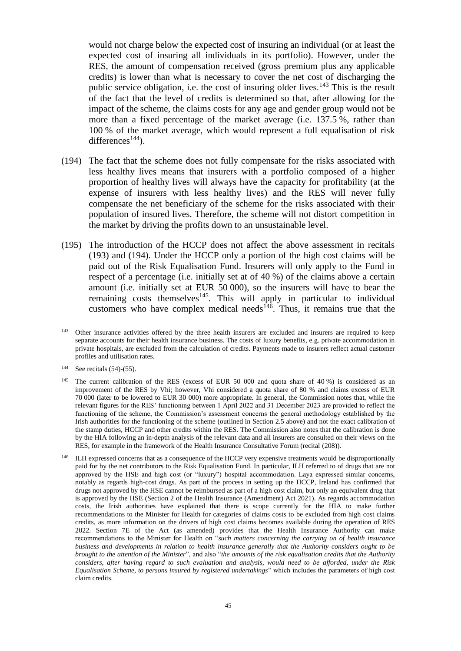would not charge below the expected cost of insuring an individual (or at least the expected cost of insuring all individuals in its portfolio). However, under the RES, the amount of compensation received (gross premium plus any applicable credits) is lower than what is necessary to cover the net cost of discharging the public service obligation, i.e. the cost of insuring older lives.<sup>143</sup> This is the result of the fact that the level of credits is determined so that, after allowing for the impact of the scheme, the claims costs for any age and gender group would not be more than a fixed percentage of the market average (i.e. 137.5 %, rather than 100 % of the market average, which would represent a full equalisation of risk  $differences<sup>144</sup>$ ).

- <span id="page-44-0"></span>(194) The fact that the scheme does not fully compensate for the risks associated with less healthy lives means that insurers with a portfolio composed of a higher proportion of healthy lives will always have the capacity for profitability (at the expense of insurers with less healthy lives) and the RES will never fully compensate the net beneficiary of the scheme for the risks associated with their population of insured lives. Therefore, the scheme will not distort competition in the market by driving the profits down to an unsustainable level.
- <span id="page-44-1"></span>(195) The introduction of the HCCP does not affect the above assessment in recitals [\(193\)](#page-43-0) and [\(194\).](#page-44-0) Under the HCCP only a portion of the high cost claims will be paid out of the Risk Equalisation Fund. Insurers will only apply to the Fund in respect of a percentage (i.e. initially set at of 40 %) of the claims above a certain amount (i.e. initially set at EUR 50 000), so the insurers will have to bear the remaining costs themselves<sup>145</sup>. This will apply in particular to individual customers who have complex medical needs<sup> $146$ </sup>. Thus, it remains true that the

 $143$ <sup>143</sup> Other insurance activities offered by the three health insurers are excluded and insurers are required to keep separate accounts for their health insurance business. The costs of luxury benefits, e.g. private accommodation in private hospitals, are excluded from the calculation of credits. Payments made to insurers reflect actual customer profiles and utilisation rates.

<sup>144</sup> See recitals [\(54\)](#page-11-0)[-\(55\).](#page-11-1)

<sup>&</sup>lt;sup>145</sup> The current calibration of the RES (excess of EUR 50 000 and quota share of 40 %) is considered as an improvement of the RES by Vhi; however, Vhi considered a quota share of 80 % and claims excess of EUR 70 000 (later to be lowered to EUR 30 000) more appropriate. In general, the Commission notes that, while the relevant figures for the RES' functioning between 1 April 2022 and 31 December 2023 are provided to reflect the functioning of the scheme, the Commission's assessment concerns the general methodology established by the Irish authorities for the functioning of the scheme (outlined in Sectio[n 2.5](#page-6-3) above) and not the exact calibration of the stamp duties, HCCP and other credits within the RES. The Commission also notes that the calibration is done by the HIA following an in-depth analysis of the relevant data and all insurers are consulted on their views on the RES, for example in the framework of the Health Insurance Consultative Forum (recital [\(208\)\)](#page-47-0).

<sup>&</sup>lt;sup>146</sup> ILH expressed concerns that as a consequence of the HCCP very expensive treatments would be disproportionally paid for by the net contributors to the Risk Equalisation Fund. In particular, ILH referred to of drugs that are not approved by the HSE and high cost (or "luxury") hospital accommodation. Laya expressed similar concerns, notably as regards high-cost drugs. As part of the process in setting up the HCCP, Ireland has confirmed that drugs not approved by the HSE cannot be reimbursed as part of a high cost claim, but only an equivalent drug that is approved by the HSE (Section 2 of the Health Insurance (Amendment) Act 2021). As regards accommodation costs, the Irish authorities have explained that there is scope currently for the HIA to make further recommendations to the Minister for Health for categories of claims costs to be excluded from high cost claims credits, as more information on the drivers of high cost claims becomes available during the operation of RES 2022. Section 7E of the Act (as amended) provides that the Health Insurance Authority can make recommendations to the Minister for Health on "*such matters concerning the carrying on of health insurance business and developments in relation to health insurance generally that the Authority considers ought to be brought to the attention of the Minister*", and also "*the amounts of the risk equalisation credits that the Authority considers, after having regard to such evaluation and analysis, would need to be afforded, under the Risk Equalisation Scheme, to persons insured by registered undertakings*" which includes the parameters of high cost claim credits.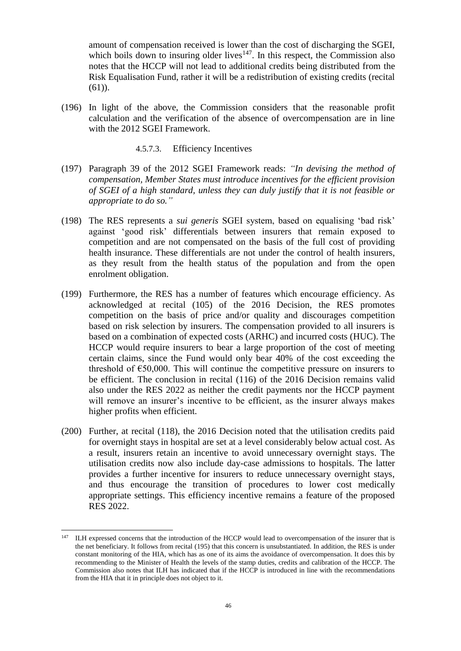amount of compensation received is lower than the cost of discharging the SGEI, which boils down to insuring older lives $147$ . In this respect, the Commission also notes that the HCCP will not lead to additional credits being distributed from the Risk Equalisation Fund, rather it will be a redistribution of existing credits (recital [\(61\)\)](#page-12-2).

(196) In light of the above, the Commission considers that the reasonable profit calculation and the verification of the absence of overcompensation are in line with the 2012 SGEI Framework.

#### 4.5.7.3. Efficiency Incentives

- (197) Paragraph 39 of the 2012 SGEI Framework reads: *"In devising the method of compensation, Member States must introduce incentives for the efficient provision of SGEI of a high standard, unless they can duly justify that it is not feasible or appropriate to do so."*
- (198) The RES represents a *sui generis* SGEI system, based on equalising 'bad risk' against 'good risk' differentials between insurers that remain exposed to competition and are not compensated on the basis of the full cost of providing health insurance. These differentials are not under the control of health insurers, as they result from the health status of the population and from the open enrolment obligation.
- (199) Furthermore, the RES has a number of features which encourage efficiency. As acknowledged at recital (105) of the 2016 Decision, the RES promotes competition on the basis of price and/or quality and discourages competition based on risk selection by insurers. The compensation provided to all insurers is based on a combination of expected costs (ARHC) and incurred costs (HUC). The HCCP would require insurers to bear a large proportion of the cost of meeting certain claims, since the Fund would only bear 40% of the cost exceeding the threshold of  $\epsilon$ 50,000. This will continue the competitive pressure on insurers to be efficient. The conclusion in recital (116) of the 2016 Decision remains valid also under the RES 2022 as neither the credit payments nor the HCCP payment will remove an insurer's incentive to be efficient, as the insurer always makes higher profits when efficient.
- (200) Further, at recital (118), the 2016 Decision noted that the utilisation credits paid for overnight stays in hospital are set at a level considerably below actual cost. As a result, insurers retain an incentive to avoid unnecessary overnight stays. The utilisation credits now also include day-case admissions to hospitals. The latter provides a further incentive for insurers to reduce unnecessary overnight stays, and thus encourage the transition of procedures to lower cost medically appropriate settings. This efficiency incentive remains a feature of the proposed RES 2022.

<sup>&</sup>lt;sup>147</sup> ILH expressed concerns that the introduction of the HCCP would lead to overcompensation of the insurer that is the net beneficiary. It follows from recital [\(195\)](#page-44-1) that this concern is unsubstantiated. In addition, the RES is under constant monitoring of the HIA, which has as one of its aims the avoidance of overcompensation. It does this by recommending to the Minister of Health the levels of the stamp duties, credits and calibration of the HCCP. The Commission also notes that ILH has indicated that if the HCCP is introduced in line with the recommendations from the HIA that it in principle does not object to it.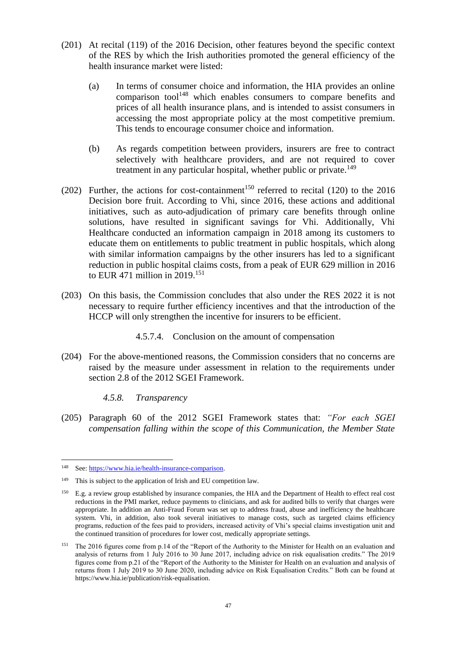- (201) At recital (119) of the 2016 Decision, other features beyond the specific context of the RES by which the Irish authorities promoted the general efficiency of the health insurance market were listed:
	- (a) In terms of consumer choice and information, the HIA provides an online comparison tool<sup>148</sup> which enables consumers to compare benefits and prices of all health insurance plans, and is intended to assist consumers in accessing the most appropriate policy at the most competitive premium. This tends to encourage consumer choice and information.
	- (b) As regards competition between providers, insurers are free to contract selectively with healthcare providers, and are not required to cover treatment in any particular hospital, whether public or private.<sup>149</sup>
- (202) Further, the actions for cost-containment<sup>150</sup> referred to recital (120) to the 2016 Decision bore fruit. According to Vhi, since 2016, these actions and additional initiatives, such as auto-adjudication of primary care benefits through online solutions, have resulted in significant savings for Vhi. Additionally, Vhi Healthcare conducted an information campaign in 2018 among its customers to educate them on entitlements to public treatment in public hospitals, which along with similar information campaigns by the other insurers has led to a significant reduction in public hospital claims costs, from a peak of EUR 629 million in 2016 to EUR 471 million in 2019.<sup>151</sup>
- (203) On this basis, the Commission concludes that also under the RES 2022 it is not necessary to require further efficiency incentives and that the introduction of the HCCP will only strengthen the incentive for insurers to be efficient.

4.5.7.4. Conclusion on the amount of compensation

(204) For the above-mentioned reasons, the Commission considers that no concerns are raised by the measure under assessment in relation to the requirements under section 2.8 of the 2012 SGEI Framework.

*4.5.8. Transparency*

(205) Paragraph 60 of the 2012 SGEI Framework states that: *"For each SGEI compensation falling within the scope of this Communication, the Member State* 

<sup>148</sup> See: [https://www.hia.ie/health-insurance-comparison.](https://www.hia.ie/health-insurance-comparison) 

<sup>&</sup>lt;sup>149</sup> This is subject to the application of Irish and EU competition law.

<sup>&</sup>lt;sup>150</sup> E.g. a review group established by insurance companies, the HIA and the Department of Health to effect real cost reductions in the PMI market, reduce payments to clinicians, and ask for audited bills to verify that charges were appropriate. In addition an Anti-Fraud Forum was set up to address fraud, abuse and inefficiency the healthcare system. Vhi, in addition, also took several initiatives to manage costs, such as targeted claims efficiency programs, reduction of the fees paid to providers, increased activity of Vhi's special claims investigation unit and the continued transition of procedures for lower cost, medically appropriate settings.

<sup>151</sup> The 2016 figures come from p.14 of the "Report of the Authority to the Minister for Health on an evaluation and analysis of returns from 1 July 2016 to 30 June 2017, including advice on risk equalisation credits." The 2019 figures come from p.21 of the "Report of the Authority to the Minister for Health on an evaluation and analysis of returns from 1 July 2019 to 30 June 2020, including advice on Risk Equalisation Credits." Both can be found at [https://www.hia.ie/publication/risk-equalisation.](https://www.hia.ie/publication/risk-equalisation)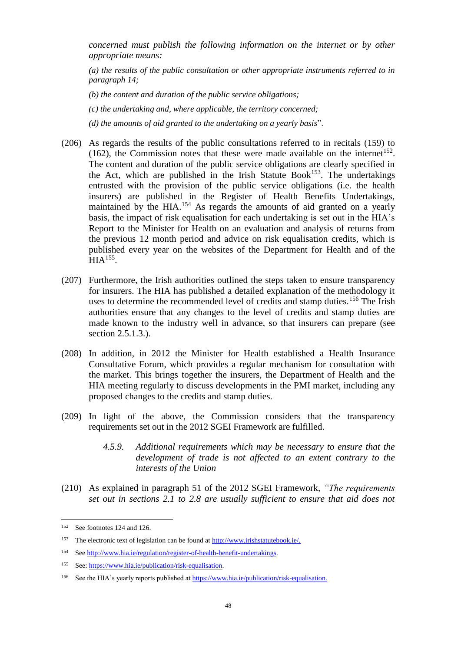*concerned must publish the following information on the internet or by other appropriate means:*

*(a) the results of the public consultation or other appropriate instruments referred to in paragraph 14;*

- *(b) the content and duration of the public service obligations;*
- *(c) the undertaking and, where applicable, the territory concerned;*
- *(d) the amounts of aid granted to the undertaking on a yearly basis*".
- (206) As regards the results of the public consultations referred to in recitals [\(159\)](#page-36-0) to  $(162)$ , the Commission notes that these were made available on the internet<sup>152</sup>. The content and duration of the public service obligations are clearly specified in the Act, which are published in the Irish Statute  $Book^{153}$ . The undertakings entrusted with the provision of the public service obligations (i.e. the health insurers) are published in the Register of Health Benefits Undertakings, maintained by the HIA.<sup>154</sup> As regards the amounts of aid granted on a yearly basis, the impact of risk equalisation for each undertaking is set out in the HIA's Report to the Minister for Health on an evaluation and analysis of returns from the previous 12 month period and advice on risk equalisation credits, which is published every year on the websites of the Department for Health and of the  $HIA<sup>155</sup>$ .
- (207) Furthermore, the Irish authorities outlined the steps taken to ensure transparency for insurers. The HIA has published a detailed explanation of the methodology it uses to determine the recommended level of credits and stamp duties.<sup>156</sup> The Irish authorities ensure that any changes to the level of credits and stamp duties are made known to the industry well in advance, so that insurers can prepare (see section 2.5.1.3.).
- <span id="page-47-0"></span>(208) In addition, in 2012 the Minister for Health established a Health Insurance Consultative Forum, which provides a regular mechanism for consultation with the market. This brings together the insurers, the Department of Health and the HIA meeting regularly to discuss developments in the PMI market, including any proposed changes to the credits and stamp duties.
- (209) In light of the above, the Commission considers that the transparency requirements set out in the 2012 SGEI Framework are fulfilled.
	- *4.5.9. Additional requirements which may be necessary to ensure that the development of trade is not affected to an extent contrary to the interests of the Union*
- (210) As explained in paragraph 51 of the 2012 SGEI Framework, *"The requirements set out in sections 2.1 to 2.8 are usually sufficient to ensure that aid does not*

<sup>152</sup> See footnote[s 124](#page-36-2) an[d 126.](#page-37-1)

<sup>153</sup> The electronic text of legislation can be found at [http://www.irishstatutebook.ie/.](http://www.irishstatutebook.ie/)

<sup>154</sup> Se[e http://www.hia.ie/regulation/register-of-health-benefit-undertakings.](http://www.hia.ie/regulation/register-of-health-benefit-undertakings)

<sup>155</sup> See: [https://www.hia.ie/publication/risk-equalisation.](https://www.hia.ie/publication/risk-equalisation)

<sup>156</sup> See the HIA's yearly reports published a[t https://www.hia.ie/publication/risk-equalisation.](https://www.hia.ie/publication/risk-equalisation)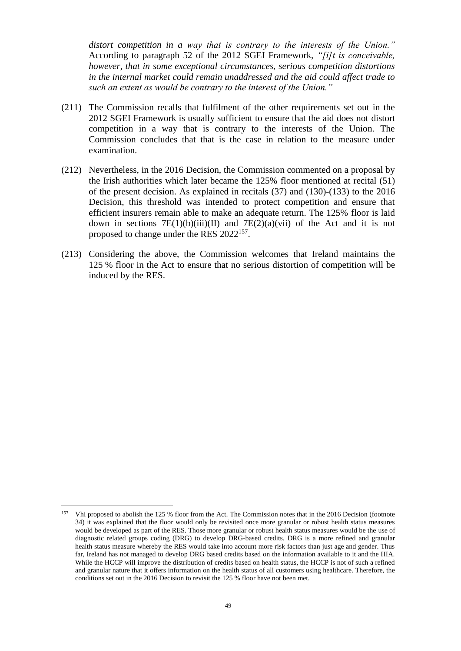*distort competition in a way that is contrary to the interests of the Union."* According to paragraph 52 of the 2012 SGEI Framework, *"[i]t is conceivable, however, that in some exceptional circumstances, serious competition distortions in the internal market could remain unaddressed and the aid could affect trade to such an extent as would be contrary to the interest of the Union."*

- (211) The Commission recalls that fulfilment of the other requirements set out in the 2012 SGEI Framework is usually sufficient to ensure that the aid does not distort competition in a way that is contrary to the interests of the Union. The Commission concludes that that is the case in relation to the measure under examination.
- (212) Nevertheless, in the 2016 Decision, the Commission commented on a proposal by the Irish authorities which later became the 125% floor mentioned at recital [\(51\)](#page-10-0) of the present decision. As explained in recitals (37) and (130)-(133) to the 2016 Decision, this threshold was intended to protect competition and ensure that efficient insurers remain able to make an adequate return. The 125% floor is laid down in sections  $7E(1)(b)(iii)(II)$  and  $7E(2)(a)(vii)$  of the Act and it is not proposed to change under the RES 2022<sup>157</sup>.
- (213) Considering the above, the Commission welcomes that Ireland maintains the 125 % floor in the Act to ensure that no serious distortion of competition will be induced by the RES.

<sup>157</sup> <sup>157</sup> Vhi proposed to abolish the 125 % floor from the Act. The Commission notes that in the 2016 Decision (footnote 34) it was explained that the floor would only be revisited once more granular or robust health status measures would be developed as part of the RES. Those more granular or robust health status measures would be the use of diagnostic related groups coding (DRG) to develop DRG-based credits. DRG is a more refined and granular health status measure whereby the RES would take into account more risk factors than just age and gender. Thus far, Ireland has not managed to develop DRG based credits based on the information available to it and the HIA. While the HCCP will improve the distribution of credits based on health status, the HCCP is not of such a refined and granular nature that it offers information on the health status of all customers using healthcare. Therefore, the conditions set out in the 2016 Decision to revisit the 125 % floor have not been met.